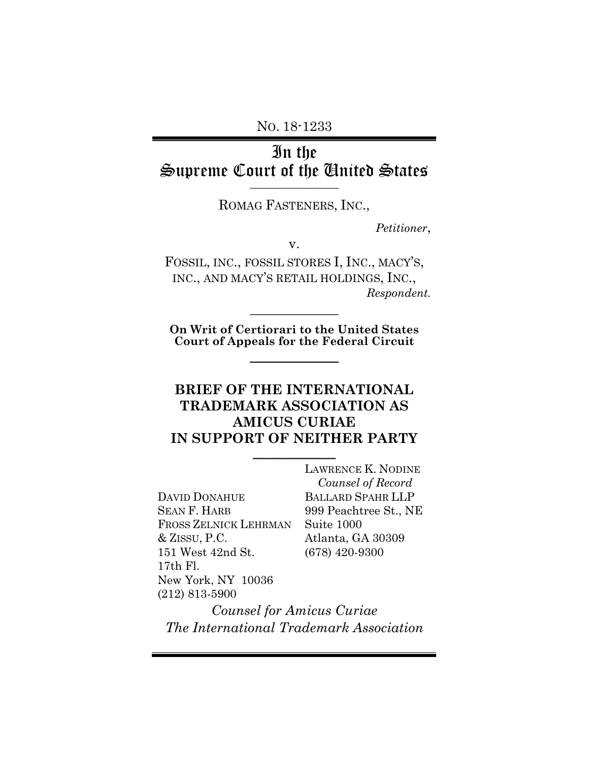NO. 18-1233

# In the Supreme Court of the United States **\_\_\_\_\_\_\_\_\_\_\_\_\_\_\_\_**

ROMAG FASTENERS, INC.,

*Petitioner*,

v.

FOSSIL, INC., FOSSIL STORES I, INC., MACY'S, INC., AND MACY'S RETAIL HOLDINGS, INC., *Respondent.*

**On Writ of Certiorari to the United States Court of Appeals for the Federal Circuit**

 $\frac{1}{2}$ 

 $\frac{1}{2}$ 

## **BRIEF OF THE INTERNATIONAL TRADEMARK ASSOCIATION AS AMICUS CURIAE IN SUPPORT OF NEITHER PARTY**

 $\frac{1}{2}$ 

DAVID DONAHUE SEAN F. HARB FROSS ZELNICK LEHRMAN & ZISSU, P.C. 151 West 42nd St. 17th Fl. New York, NY 10036 (212) 813-5900

LAWRENCE K. NODINE  *Counsel of Record* BALLARD SPAHR LLP 999 Peachtree St., NE Suite 1000 Atlanta, GA 30309 (678) 420-9300

*Counsel for Amicus Curiae The International Trademark Association*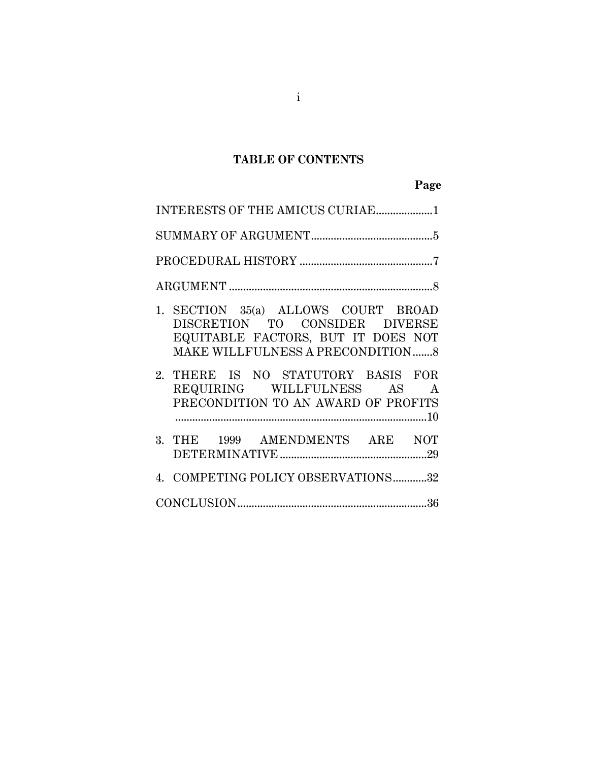## **TABLE OF CONTENTS**

# **Page**

| INTERESTS OF THE AMICUS CURIAE1                                                                                                                         |  |  |  |  |  |
|---------------------------------------------------------------------------------------------------------------------------------------------------------|--|--|--|--|--|
|                                                                                                                                                         |  |  |  |  |  |
|                                                                                                                                                         |  |  |  |  |  |
|                                                                                                                                                         |  |  |  |  |  |
| 1. SECTION 35(a) ALLOWS COURT BROAD<br>DISCRETION TO CONSIDER DIVERSE<br>EQUITABLE FACTORS, BUT IT DOES NOT<br><b>MAKE WILLFULNESS A PRECONDITION 8</b> |  |  |  |  |  |
| 2. THERE IS NO STATUTORY BASIS FOR<br>REQUIRING WILLFULNESS AS A<br>PRECONDITION TO AN AWARD OF PROFITS                                                 |  |  |  |  |  |
| 3. THE 1999 AMENDMENTS ARE NOT                                                                                                                          |  |  |  |  |  |
| 4. COMPETING POLICY OBSERVATIONS32                                                                                                                      |  |  |  |  |  |
|                                                                                                                                                         |  |  |  |  |  |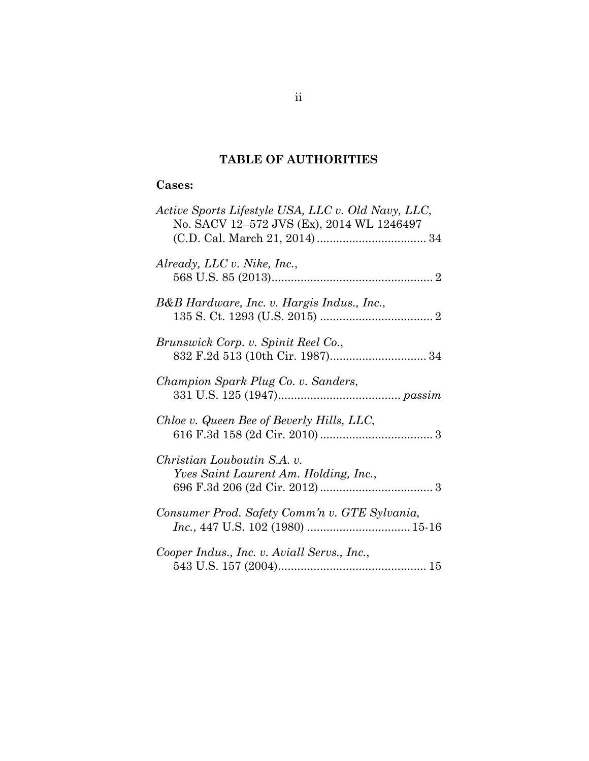## **TABLE OF AUTHORITIES**

### **Cases:**

| Active Sports Lifestyle USA, LLC v. Old Navy, LLC,<br>No. SACV 12-572 JVS (Ex), 2014 WL 1246497 |
|-------------------------------------------------------------------------------------------------|
| Already, LLC v. Nike, Inc.,                                                                     |
| B&B Hardware, Inc. v. Hargis Indus., Inc.,                                                      |
| Brunswick Corp. v. Spinit Reel Co.,                                                             |
| Champion Spark Plug Co. v. Sanders,                                                             |
| Chloe v. Queen Bee of Beverly Hills, LLC,                                                       |
| Christian Louboutin S.A. v.<br>Yves Saint Laurent Am. Holding, Inc.,                            |
| Consumer Prod. Safety Comm'n v. GTE Sylvania,                                                   |
| Cooper Indus., Inc. v. Aviall Servs., Inc.,                                                     |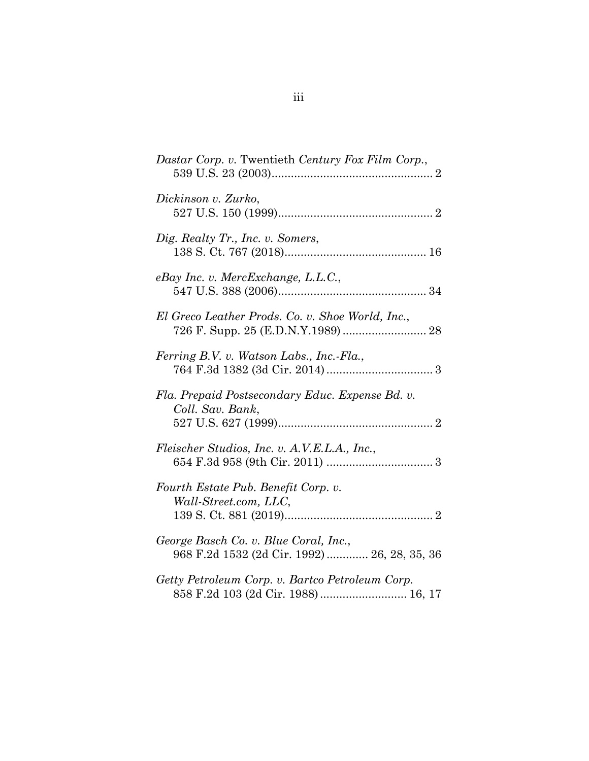| Dastar Corp. v. Twentieth Century Fox Film Corp.,                                     |
|---------------------------------------------------------------------------------------|
| Dickinson v. Zurko,                                                                   |
| Dig. Realty Tr., Inc. v. Somers,                                                      |
| eBay Inc. v. MercExchange, L.L.C.,                                                    |
| El Greco Leather Prods. Co. v. Shoe World, Inc.,                                      |
| Ferring B.V. v. Watson Labs., Inc.-Fla.,                                              |
| Fla. Prepaid Postsecondary Educ. Expense Bd. v.<br>Coll. Sav. Bank,                   |
| Fleischer Studios, Inc. v. A.V.E.L.A., Inc.,                                          |
| Fourth Estate Pub. Benefit Corp. v.<br>Wall-Street.com, LLC,                          |
| George Basch Co. v. Blue Coral, Inc.,<br>968 F.2d 1532 (2d Cir. 1992)  26, 28, 35, 36 |
| Getty Petroleum Corp. v. Bartco Petroleum Corp.<br>858 F.2d 103 (2d Cir. 1988) 16, 17 |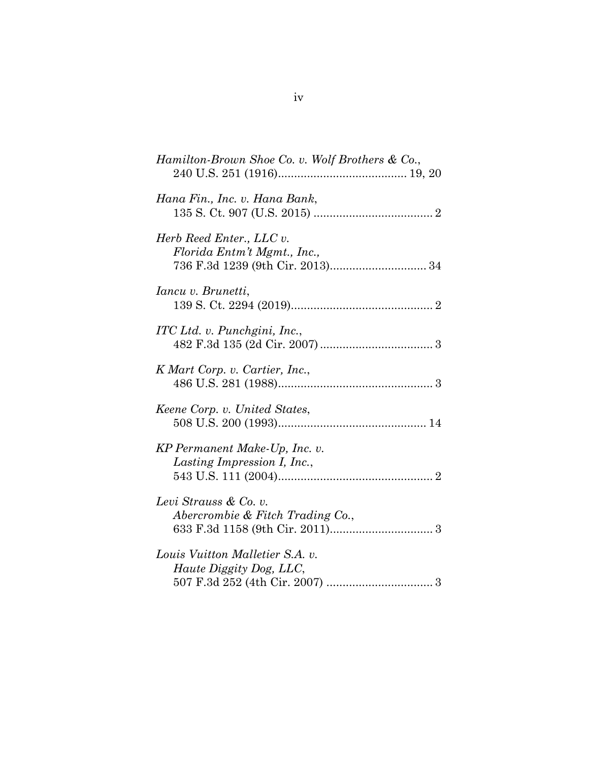| Hamilton-Brown Shoe Co. v. Wolf Brothers & Co.,              |
|--------------------------------------------------------------|
| Hana Fin., Inc. v. Hana Bank,                                |
| Herb Reed Enter., LLC v.<br>Florida Entm't Mgmt., Inc.,      |
| Iancu v. Brunetti,                                           |
| ITC Ltd. v. Punchgini, Inc.,                                 |
| K Mart Corp. v. Cartier, Inc.,                               |
| Keene Corp. v. United States,                                |
| KP Permanent Make-Up, Inc. v.<br>Lasting Impression I, Inc., |
| Levi Strauss & Co. v.<br>Abercrombie & Fitch Trading Co.,    |
| Louis Vuitton Malletier S.A. v.<br>Haute Diggity Dog, LLC,   |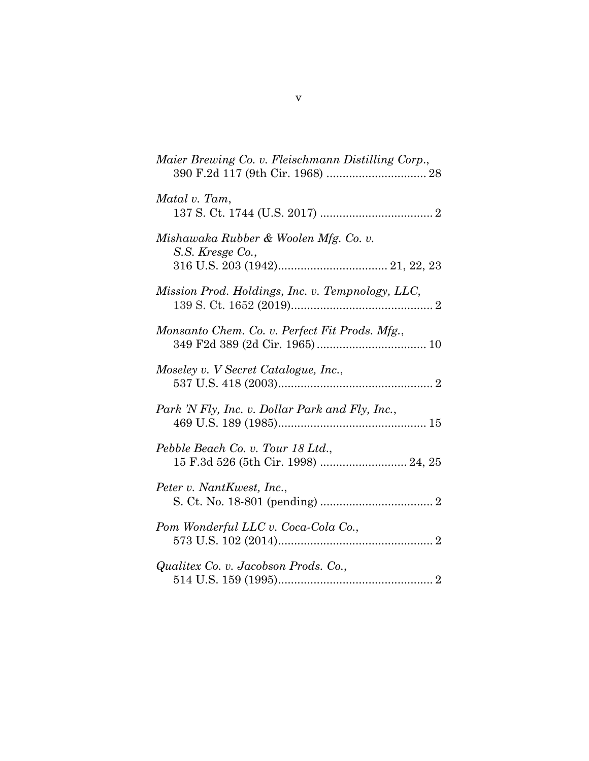| Maier Brewing Co. v. Fleischmann Distilling Corp.,                       |
|--------------------------------------------------------------------------|
| Matal v. Tam,                                                            |
| Mishawaka Rubber & Woolen Mfg. Co. v.<br>S.S. Kresge Co.,                |
| Mission Prod. Holdings, Inc. v. Tempnology, LLC,                         |
| Monsanto Chem. Co. v. Perfect Fit Prods. Mfg.,                           |
| Moseley v. V Secret Catalogue, Inc.,                                     |
| Park 'N Fly, Inc. v. Dollar Park and Fly, Inc.,                          |
| Pebble Beach Co. v. Tour 18 Ltd.,<br>15 F.3d 526 (5th Cir. 1998)  24, 25 |
| Peter v. NantKwest, Inc.,                                                |
| Pom Wonderful LLC v. Coca-Cola Co.,                                      |
| Qualitex Co. v. Jacobson Prods. Co.,                                     |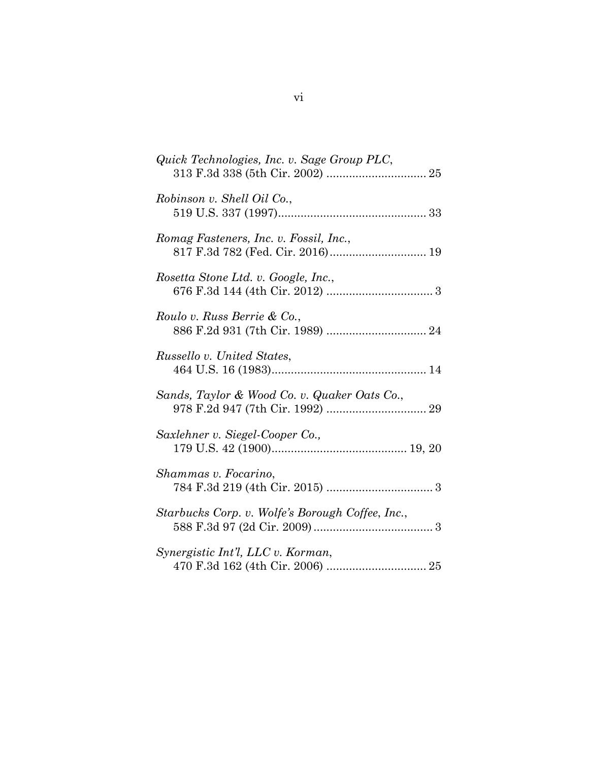| Quick Technologies, Inc. v. Sage Group PLC,      |
|--------------------------------------------------|
| Robinson v. Shell Oil Co.,                       |
| Romag Fasteners, Inc. v. Fossil, Inc.,           |
| Rosetta Stone Ltd. v. Google, Inc.,              |
| Roulo v. Russ Berrie & Co.,                      |
| Russello v. United States,                       |
| Sands, Taylor & Wood Co. v. Quaker Oats Co.,     |
| Saxlehner v. Siegel-Cooper Co.,                  |
| Shammas v. Focarino,                             |
| Starbucks Corp. v. Wolfe's Borough Coffee, Inc., |
| Synergistic Int'l, LLC v. Korman,                |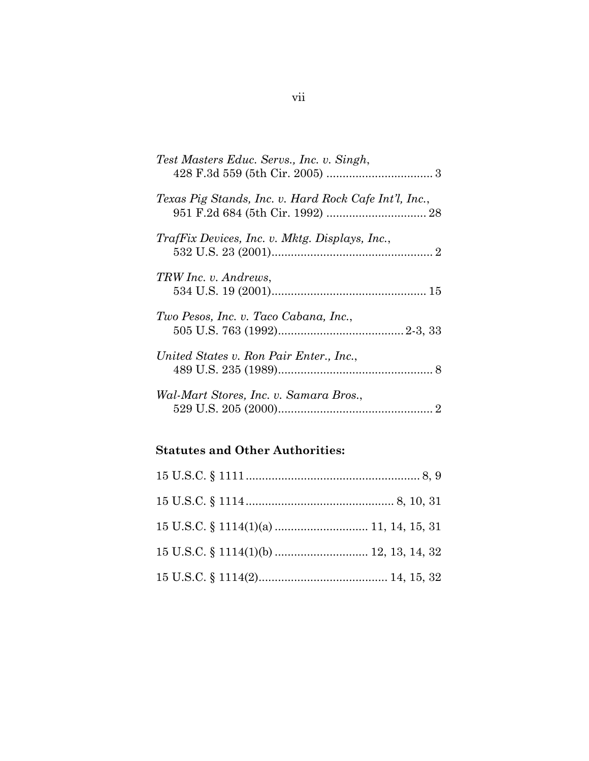| Test Masters Educ. Servs., Inc. v. Singh,             |
|-------------------------------------------------------|
| Texas Pig Stands, Inc. v. Hard Rock Cafe Int'l, Inc., |
| TrafFix Devices, Inc. v. Mktg. Displays, Inc.,        |
| TRW Inc. v. Andrews,                                  |
| Two Pesos, Inc. v. Taco Cabana, Inc.,                 |
| United States v. Ron Pair Enter., Inc.,               |
| Wal-Mart Stores, Inc. v. Samara Bros.,                |

## **Statutes and Other Authorities:**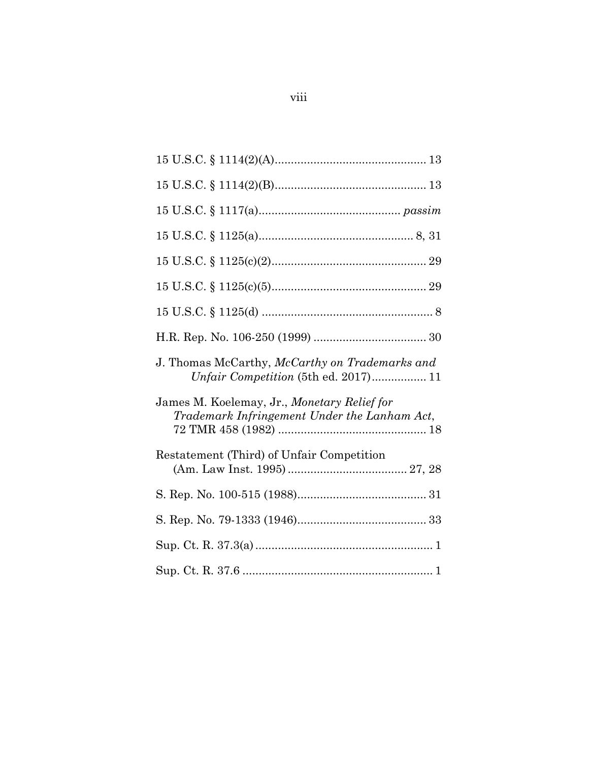| J. Thomas McCarthy, McCarthy on Trademarks and<br><i>Unfair Competition</i> (5th ed. 2017) 11 |
|-----------------------------------------------------------------------------------------------|
| James M. Koelemay, Jr., Monetary Relief for<br>Trademark Infringement Under the Lanham Act,   |
| Restatement (Third) of Unfair Competition                                                     |
|                                                                                               |
|                                                                                               |
|                                                                                               |
|                                                                                               |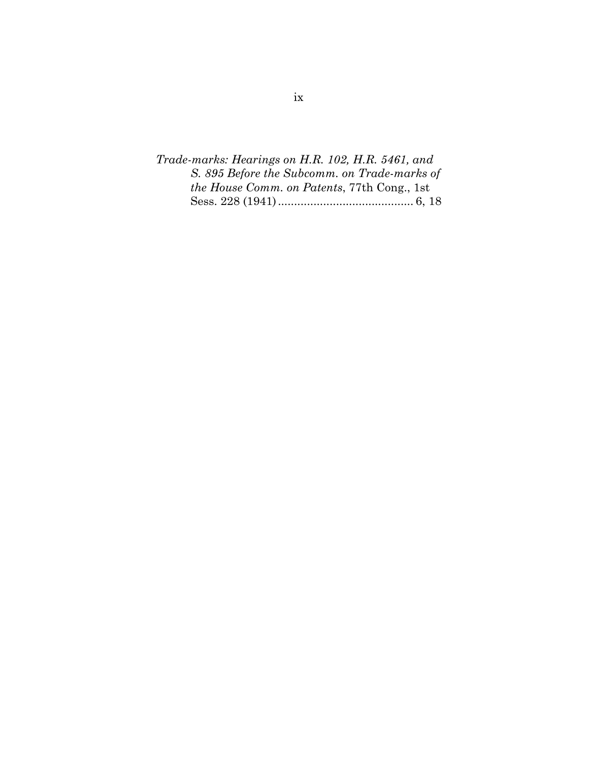*Trade-marks: Hearings on H.R. 102, H.R. 5461, and S. 895 Before the Subcomm. on Trade-marks of the House Comm. on Patents*, 77th Cong., 1st Sess. 228 (1941) .......................................... 6, 18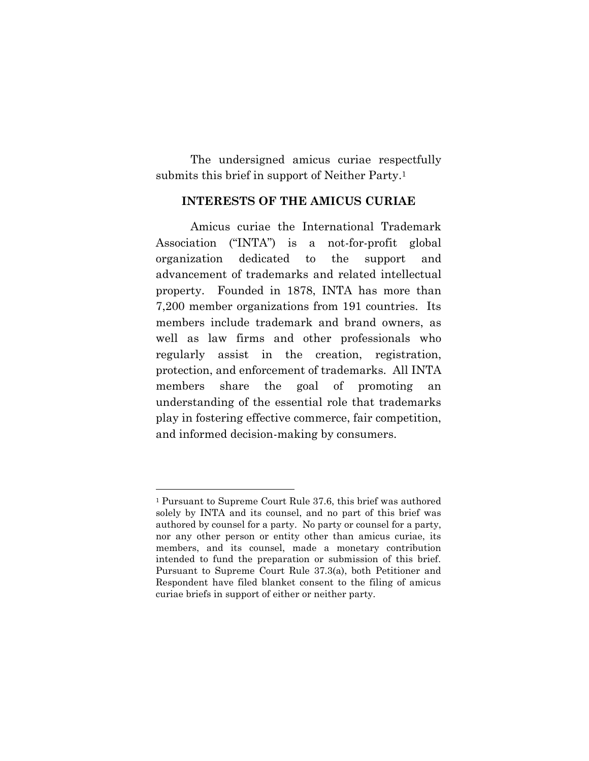The undersigned amicus curiae respectfully submits this brief in support of Neither Party.<sup>1</sup>

#### **INTERESTS OF THE AMICUS CURIAE**

Amicus curiae the International Trademark Association ("INTA") is a not-for-profit global organization dedicated to the support and advancement of trademarks and related intellectual property. Founded in 1878, INTA has more than 7,200 member organizations from 191 countries. Its members include trademark and brand owners, as well as law firms and other professionals who regularly assist in the creation, registration, protection, and enforcement of trademarks. All INTA members share the goal of promoting an understanding of the essential role that trademarks play in fostering effective commerce, fair competition, and informed decision-making by consumers.

<sup>1</sup> Pursuant to Supreme Court Rule 37.6, this brief was authored solely by INTA and its counsel, and no part of this brief was authored by counsel for a party. No party or counsel for a party, nor any other person or entity other than amicus curiae, its members, and its counsel, made a monetary contribution intended to fund the preparation or submission of this brief. Pursuant to Supreme Court Rule 37.3(a), both Petitioner and Respondent have filed blanket consent to the filing of amicus curiae briefs in support of either or neither party.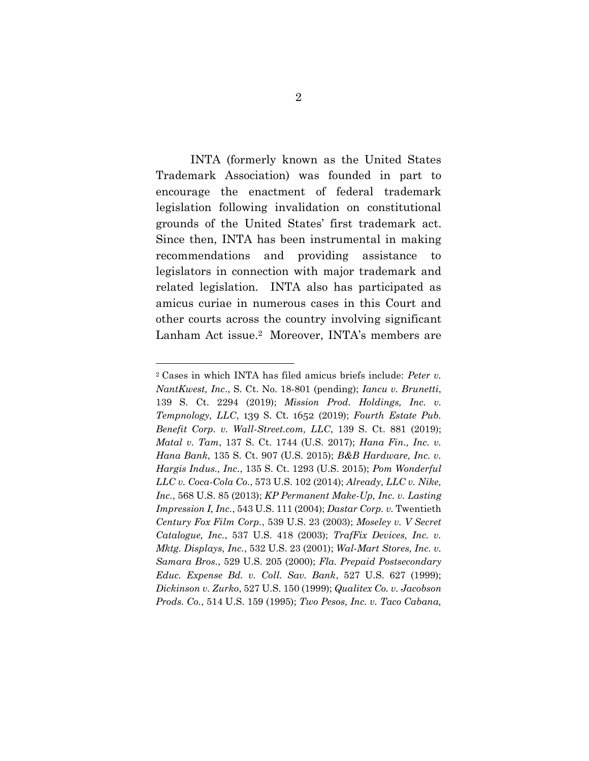INTA (formerly known as the United States Trademark Association) was founded in part to encourage the enactment of federal trademark legislation following invalidation on constitutional grounds of the United States' first trademark act. Since then, INTA has been instrumental in making recommendations and providing assistance to legislators in connection with major trademark and related legislation. INTA also has participated as amicus curiae in numerous cases in this Court and other courts across the country involving significant Lanham Act issue. <sup>2</sup> Moreover, INTA's members are

<sup>2</sup> Cases in which INTA has filed amicus briefs include: *Peter v. NantKwest, Inc*., S. Ct. No. 18-801 (pending); *Iancu v. Brunetti*, 139 S. Ct. 2294 (2019); *Mission Prod. Holdings, Inc. v. Tempnology, LLC*, 139 S. Ct. 1652 (2019); *Fourth Estate Pub. Benefit Corp. v. Wall-Street.com, LLC*, 139 S. Ct. 881 (2019); *Matal v. Tam*, 137 S. Ct. 1744 (U.S. 2017); *Hana Fin., Inc. v. Hana Bank*, 135 S. Ct. 907 (U.S. 2015); *B&B Hardware, Inc. v. Hargis Indus., Inc.*, 135 S. Ct. 1293 (U.S. 2015); *Pom Wonderful LLC v. Coca-Cola Co.*, 573 U.S. 102 (2014); *Already, LLC v. Nike, Inc.*, 568 U.S. 85 (2013); *KP Permanent Make-Up, Inc. v. Lasting Impression I, Inc.*, 543 U.S. 111 (2004); *Dastar Corp. v.* Twentieth *Century Fox Film Corp.*, 539 U.S. 23 (2003); *Moseley v. V Secret Catalogue, Inc.*, 537 U.S. 418 (2003); *TrafFix Devices, Inc. v. Mktg. Displays, Inc.*, 532 U.S. 23 (2001); *Wal-Mart Stores, Inc. v. Samara Bros.*, 529 U.S. 205 (2000); *Fla. Prepaid Postsecondary Educ. Expense Bd. v. Coll. Sav. Bank*, 527 U.S. 627 (1999); *Dickinson v. Zurko*, 527 U.S. 150 (1999); *Qualitex Co. v. Jacobson Prods. Co.*, 514 U.S. 159 (1995); *Two Pesos, Inc. v. Taco Cabana,*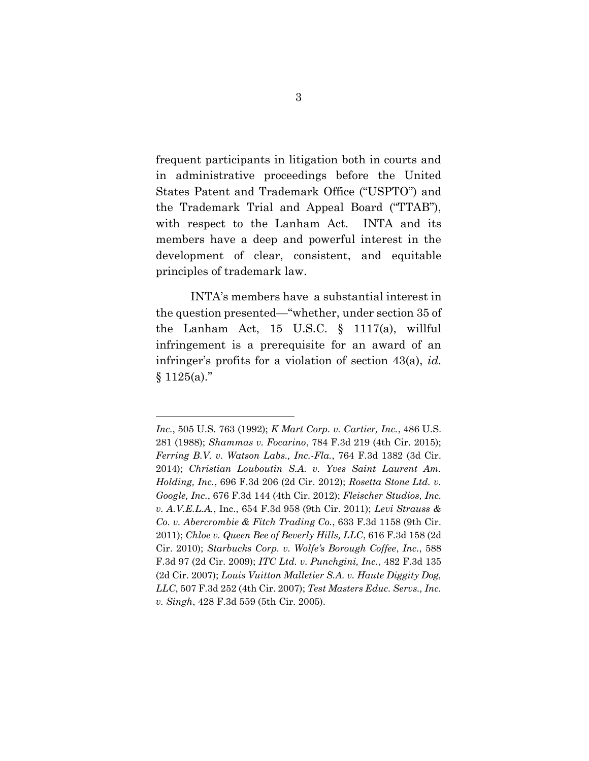frequent participants in litigation both in courts and in administrative proceedings before the United States Patent and Trademark Office ("USPTO") and the Trademark Trial and Appeal Board ("TTAB"), with respect to the Lanham Act. INTA and its members have a deep and powerful interest in the development of clear, consistent, and equitable principles of trademark law.

INTA's members have a substantial interest in the question presented—"whether, under section 35 of the Lanham Act, 15 U.S.C. § 1117(a), willful infringement is a prerequisite for an award of an infringer's profits for a violation of section 43(a), *id.*  $§ 1125(a)."$ 

*Inc.*, 505 U.S. 763 (1992); *K Mart Corp. v. Cartier, Inc.*, 486 U.S. 281 (1988); *Shammas v. Focarino*, 784 F.3d 219 (4th Cir. 2015); *Ferring B.V. v. Watson Labs., Inc.-Fla.*, 764 F.3d 1382 (3d Cir. 2014); *Christian Louboutin S.A. v. Yves Saint Laurent Am. Holding, Inc.*, 696 F.3d 206 (2d Cir. 2012); *Rosetta Stone Ltd. v. Google, Inc.*, 676 F.3d 144 (4th Cir. 2012); *Fleischer Studios, Inc. v. A.V.E.L.A.*, Inc., 654 F.3d 958 (9th Cir. 2011); *Levi Strauss & Co. v. Abercrombie & Fitch Trading Co.*, 633 F.3d 1158 (9th Cir. 2011); *Chloe v. Queen Bee of Beverly Hills, LLC*, 616 F.3d 158 (2d Cir. 2010); *Starbucks Corp. v. Wolfe's Borough Coffee*, *Inc.*, 588 F.3d 97 (2d Cir. 2009); *ITC Ltd. v. Punchgini, Inc.*, 482 F.3d 135 (2d Cir. 2007); *Louis Vuitton Malletier S.A. v. Haute Diggity Dog, LLC*, 507 F.3d 252 (4th Cir. 2007); *Test Masters Educ. Servs., Inc. v. Singh*, 428 F.3d 559 (5th Cir. 2005).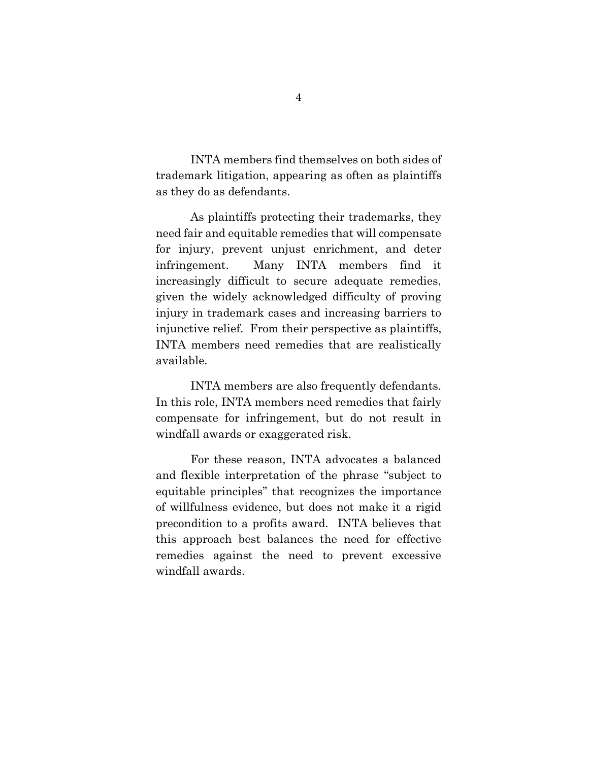INTA members find themselves on both sides of trademark litigation, appearing as often as plaintiffs as they do as defendants.

As plaintiffs protecting their trademarks, they need fair and equitable remedies that will compensate for injury, prevent unjust enrichment, and deter infringement. Many INTA members find it increasingly difficult to secure adequate remedies, given the widely acknowledged difficulty of proving injury in trademark cases and increasing barriers to injunctive relief. From their perspective as plaintiffs, INTA members need remedies that are realistically available.

INTA members are also frequently defendants. In this role, INTA members need remedies that fairly compensate for infringement, but do not result in windfall awards or exaggerated risk.

For these reason, INTA advocates a balanced and flexible interpretation of the phrase "subject to equitable principles" that recognizes the importance of willfulness evidence, but does not make it a rigid precondition to a profits award. INTA believes that this approach best balances the need for effective remedies against the need to prevent excessive windfall awards.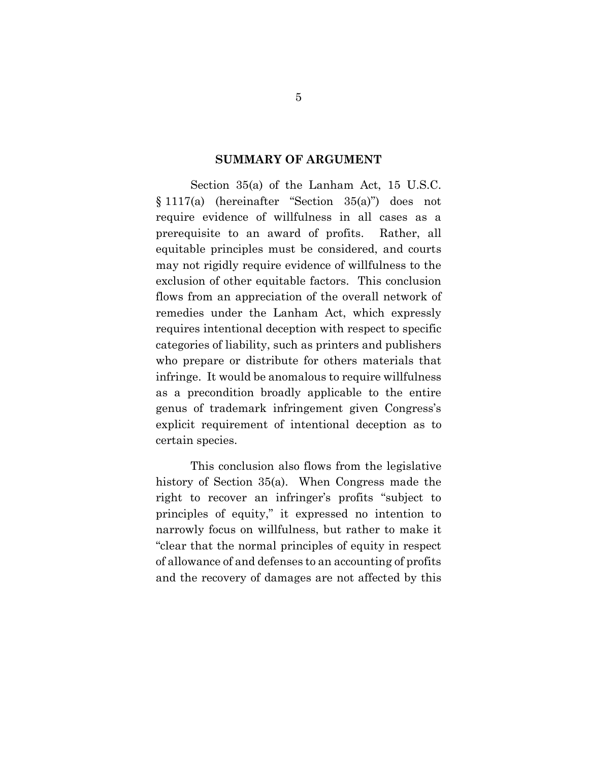#### **SUMMARY OF ARGUMENT**

Section 35(a) of the Lanham Act, 15 U.S.C. § 1117(a) (hereinafter "Section 35(a)") does not require evidence of willfulness in all cases as a prerequisite to an award of profits. Rather, all equitable principles must be considered, and courts may not rigidly require evidence of willfulness to the exclusion of other equitable factors. This conclusion flows from an appreciation of the overall network of remedies under the Lanham Act, which expressly requires intentional deception with respect to specific categories of liability, such as printers and publishers who prepare or distribute for others materials that infringe. It would be anomalous to require willfulness as a precondition broadly applicable to the entire genus of trademark infringement given Congress's explicit requirement of intentional deception as to certain species.

This conclusion also flows from the legislative history of Section 35(a). When Congress made the right to recover an infringer's profits "subject to principles of equity," it expressed no intention to narrowly focus on willfulness, but rather to make it "clear that the normal principles of equity in respect of allowance of and defenses to an accounting of profits and the recovery of damages are not affected by this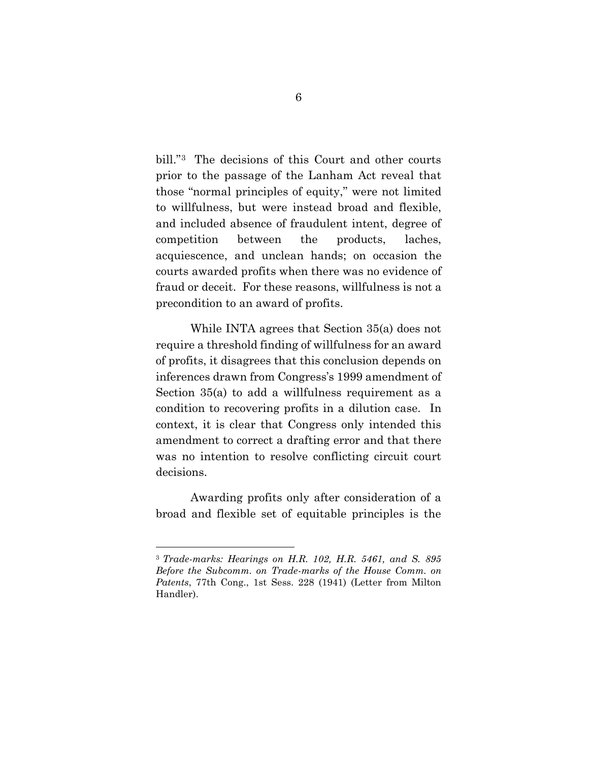bill."<sup>3</sup> The decisions of this Court and other courts prior to the passage of the Lanham Act reveal that those "normal principles of equity," were not limited to willfulness, but were instead broad and flexible, and included absence of fraudulent intent, degree of competition between the products, laches, acquiescence, and unclean hands; on occasion the courts awarded profits when there was no evidence of fraud or deceit. For these reasons, willfulness is not a precondition to an award of profits.

While INTA agrees that Section 35(a) does not require a threshold finding of willfulness for an award of profits, it disagrees that this conclusion depends on inferences drawn from Congress's 1999 amendment of Section 35(a) to add a willfulness requirement as a condition to recovering profits in a dilution case. In context, it is clear that Congress only intended this amendment to correct a drafting error and that there was no intention to resolve conflicting circuit court decisions.

Awarding profits only after consideration of a broad and flexible set of equitable principles is the

<sup>3</sup> *Trade-marks: Hearings on H.R. 102, H.R. 5461, and S. 895 Before the Subcomm. on Trade-marks of the House Comm. on Patents*, 77th Cong., 1st Sess. 228 (1941) (Letter from Milton Handler).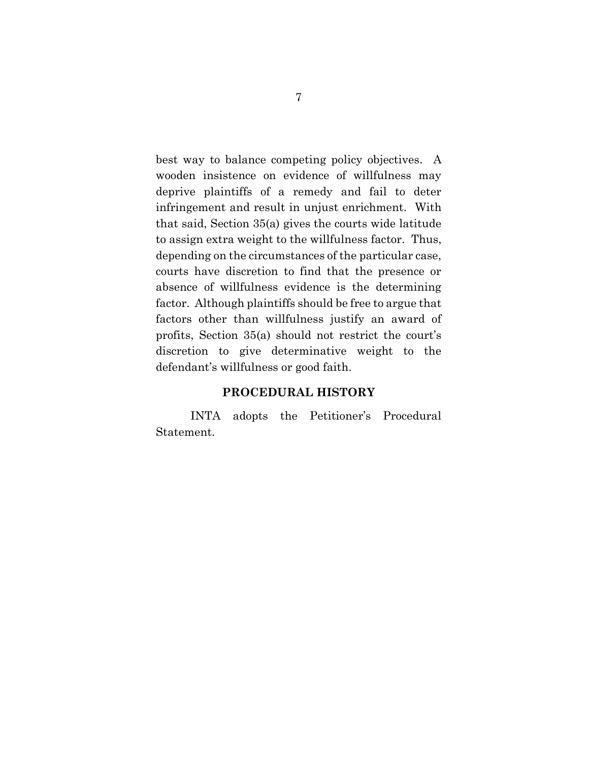best way to balance competing policy objectives. A wooden insistence on evidence of willfulness may deprive plaintiffs of a remedy and fail to deter infringement and result in unjust enrichment. With that said, Section 35(a) gives the courts wide latitude to assign extra weight to the willfulness factor. Thus, depending on the circumstances of the particular case, courts have discretion to find that the presence or absence of willfulness evidence is the determining factor. Although plaintiffs should be free to argue that factors other than willfulness justify an award of profits, Section 35(a) should not restrict the court's discretion to give determinative weight to the defendant's willfulness or good faith.

#### **PROCEDURAL HISTORY**

INTA adopts the Petitioner's Procedural Statement.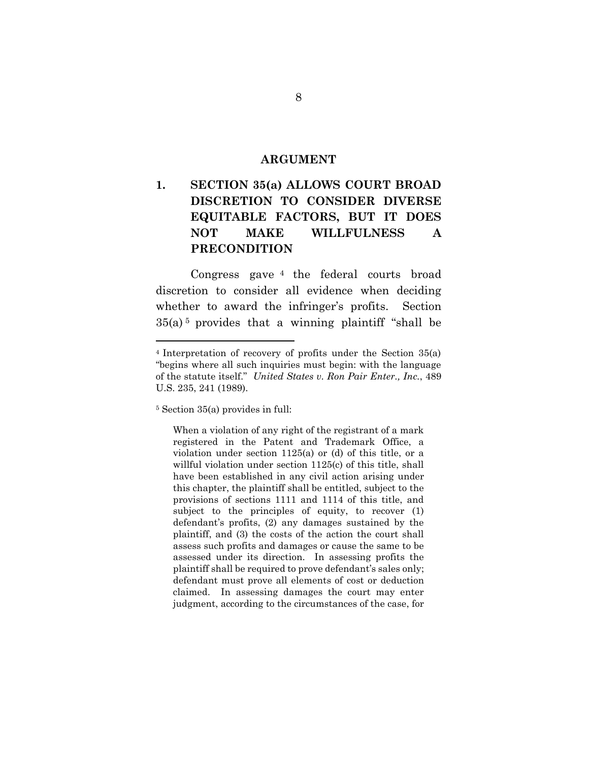#### **ARGUMENT**

## **1. SECTION 35(a) ALLOWS COURT BROAD DISCRETION TO CONSIDER DIVERSE EQUITABLE FACTORS, BUT IT DOES NOT MAKE WILLFULNESS A PRECONDITION**

Congress gave <sup>4</sup> the federal courts broad discretion to consider all evidence when deciding whether to award the infringer's profits. Section  $35(a)$ <sup>5</sup> provides that a winning plaintiff "shall be

<sup>4</sup> Interpretation of recovery of profits under the Section 35(a) "begins where all such inquiries must begin: with the language of the statute itself." *United States v. Ron Pair Enter., Inc.*, 489 U.S. 235, 241 (1989).

<sup>5</sup> Section 35(a) provides in full:

When a violation of any right of the registrant of a mark registered in the Patent and Trademark Office, a violation under section 1125(a) or (d) of this title, or a willful violation under section 1125(c) of this title, shall have been established in any civil action arising under this chapter, the plaintiff shall be entitled, subject to the provisions of sections 1111 and 1114 of this title, and subject to the principles of equity, to recover (1) defendant's profits, (2) any damages sustained by the plaintiff, and (3) the costs of the action the court shall assess such profits and damages or cause the same to be assessed under its direction. In assessing profits the plaintiff shall be required to prove defendant's sales only; defendant must prove all elements of cost or deduction claimed. In assessing damages the court may enter judgment, according to the circumstances of the case, for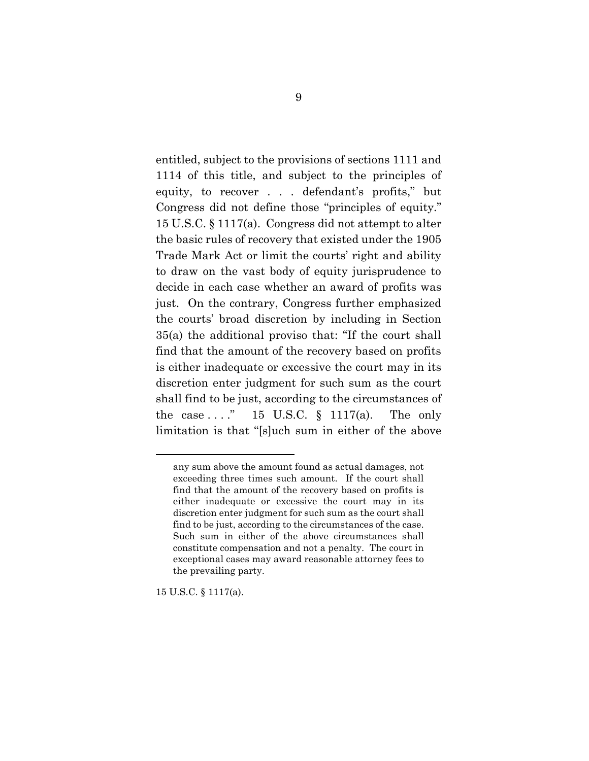entitled, subject to the provisions of sections 1111 and 1114 of this title, and subject to the principles of equity, to recover . . . defendant's profits," but Congress did not define those "principles of equity." 15 U.S.C. § 1117(a). Congress did not attempt to alter the basic rules of recovery that existed under the 1905 Trade Mark Act or limit the courts' right and ability to draw on the vast body of equity jurisprudence to decide in each case whether an award of profits was just. On the contrary, Congress further emphasized the courts' broad discretion by including in Section 35(a) the additional proviso that: "If the court shall find that the amount of the recovery based on profits is either inadequate or excessive the court may in its discretion enter judgment for such sum as the court shall find to be just, according to the circumstances of the case  $\dots$ ." 15 U.S.C. § 1117(a). The only limitation is that "[s]uch sum in either of the above

15 U.S.C. § 1117(a).

any sum above the amount found as actual damages, not exceeding three times such amount. If the court shall find that the amount of the recovery based on profits is either inadequate or excessive the court may in its discretion enter judgment for such sum as the court shall find to be just, according to the circumstances of the case. Such sum in either of the above circumstances shall constitute compensation and not a penalty. The court in exceptional cases may award reasonable attorney fees to the prevailing party.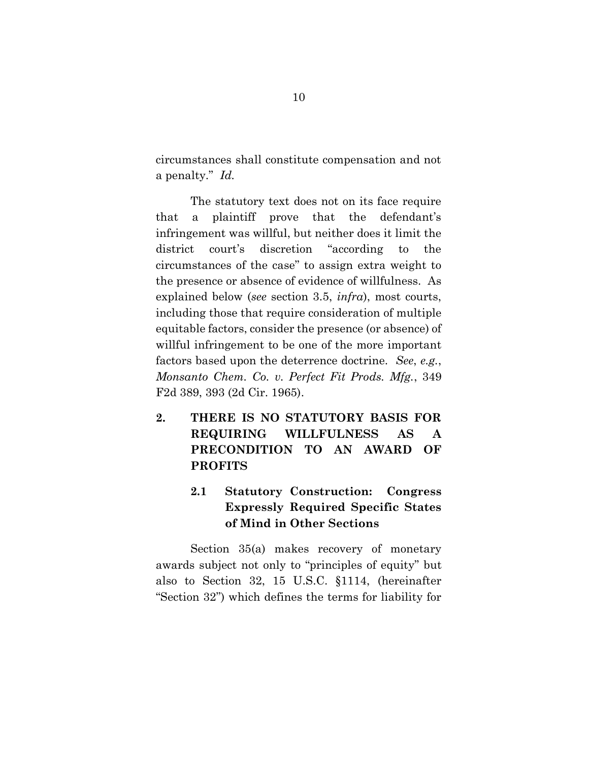circumstances shall constitute compensation and not a penalty." *Id.*

The statutory text does not on its face require that a plaintiff prove that the defendant's infringement was willful, but neither does it limit the district court's discretion "according to the circumstances of the case" to assign extra weight to the presence or absence of evidence of willfulness. As explained below (*see* section 3.5, *infra*), most courts, including those that require consideration of multiple equitable factors, consider the presence (or absence) of willful infringement to be one of the more important factors based upon the deterrence doctrine. *See*, *e.g.*, *Monsanto Chem. Co. v. Perfect Fit Prods. Mfg.*, 349 F2d 389, 393 (2d Cir. 1965).

**2. THERE IS NO STATUTORY BASIS FOR REQUIRING WILLFULNESS AS A PRECONDITION TO AN AWARD OF PROFITS**

## **2.1 Statutory Construction: Congress Expressly Required Specific States of Mind in Other Sections**

Section 35(a) makes recovery of monetary awards subject not only to "principles of equity" but also to Section 32, 15 U.S.C. §1114, (hereinafter "Section 32") which defines the terms for liability for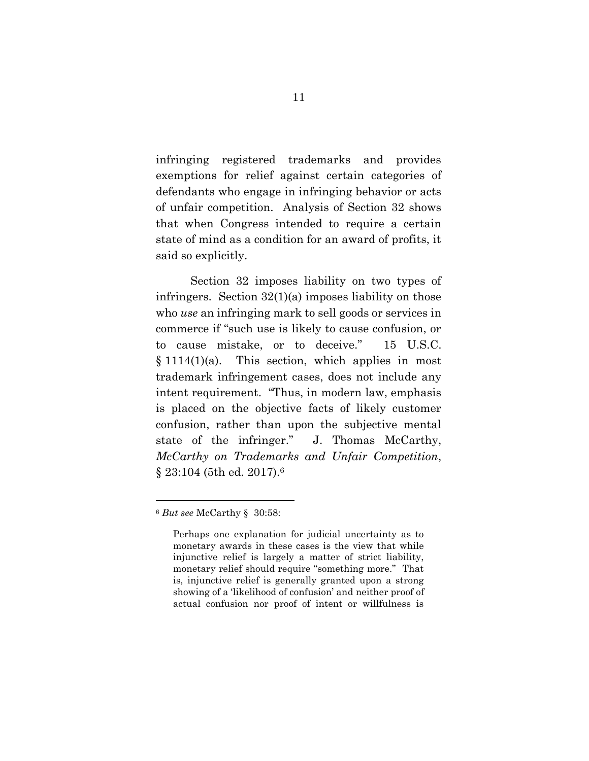infringing registered trademarks and provides exemptions for relief against certain categories of defendants who engage in infringing behavior or acts of unfair competition. Analysis of Section 32 shows that when Congress intended to require a certain state of mind as a condition for an award of profits, it said so explicitly.

Section 32 imposes liability on two types of infringers. Section  $32(1)(a)$  imposes liability on those who *use* an infringing mark to sell goods or services in commerce if "such use is likely to cause confusion, or to cause mistake, or to deceive." 15 U.S.C.  $§ 1114(1)(a)$ . This section, which applies in most trademark infringement cases, does not include any intent requirement. "Thus, in modern law, emphasis is placed on the objective facts of likely customer confusion, rather than upon the subjective mental state of the infringer." J. Thomas McCarthy, *McCarthy on Trademarks and Unfair Competition*, § 23:104 (5th ed. 2017). 6

<sup>6</sup> *But see* McCarthy § 30:58:

Perhaps one explanation for judicial uncertainty as to monetary awards in these cases is the view that while injunctive relief is largely a matter of strict liability, monetary relief should require "something more." That is, injunctive relief is generally granted upon a strong showing of a 'likelihood of confusion' and neither proof of actual confusion nor proof of intent or willfulness is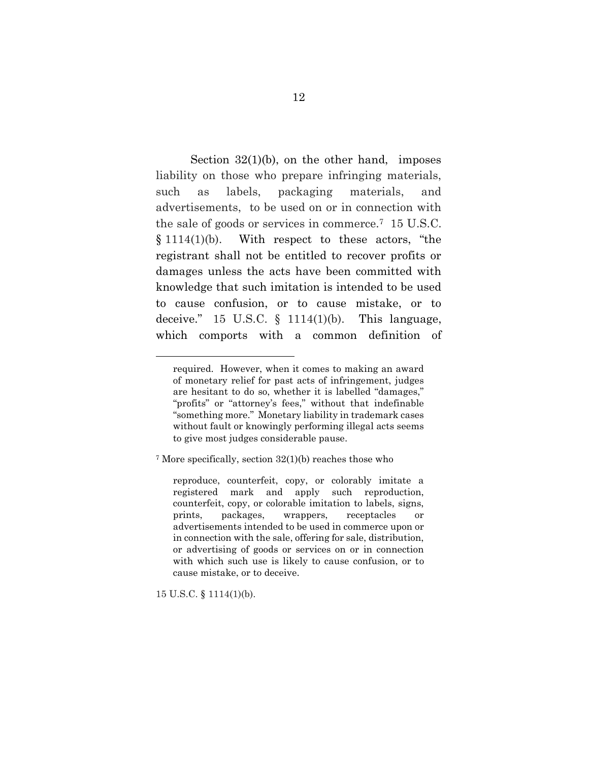Section  $32(1)(b)$ , on the other hand, imposes liability on those who prepare infringing materials, such as labels, packaging materials, and advertisements, to be used on or in connection with the sale of goods or services in commerce.<sup>7</sup> 15 U.S.C.  $§ 1114(1)(b)$ . With respect to these actors, "the registrant shall not be entitled to recover profits or damages unless the acts have been committed with knowledge that such imitation is intended to be used to cause confusion, or to cause mistake, or to deceive."  $15$  U.S.C.  $\S$   $1114(1)(b)$ . This language, which comports with a common definition of

<sup>7</sup> More specifically, section 32(1)(b) reaches those who

reproduce, counterfeit, copy, or colorably imitate a registered mark and apply such reproduction, counterfeit, copy, or colorable imitation to labels, signs, prints, packages, wrappers, receptacles or advertisements intended to be used in commerce upon or in connection with the sale, offering for sale, distribution, or advertising of goods or services on or in connection with which such use is likely to cause confusion, or to cause mistake, or to deceive.

15 U.S.C. § 1114(1)(b).

required. However, when it comes to making an award of monetary relief for past acts of infringement, judges are hesitant to do so, whether it is labelled "damages," "profits" or "attorney's fees," without that indefinable "something more." Monetary liability in trademark cases without fault or knowingly performing illegal acts seems to give most judges considerable pause.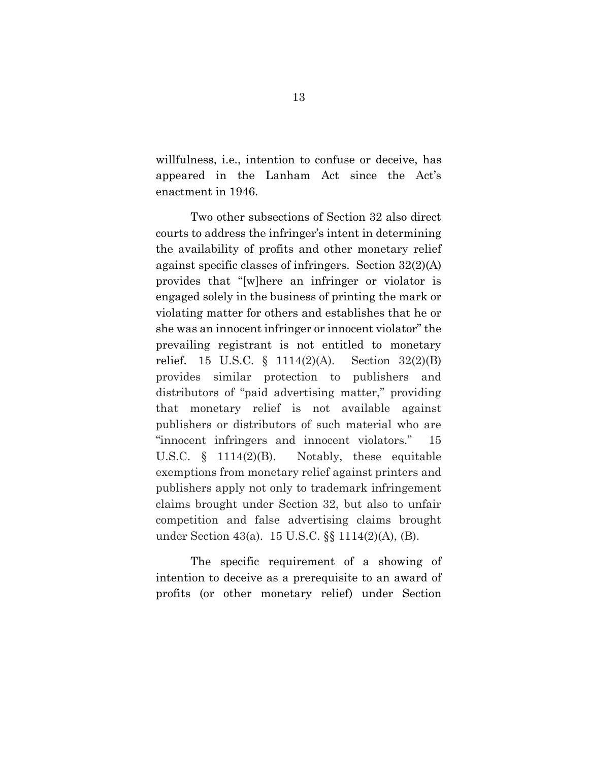willfulness, i.e., intention to confuse or deceive, has appeared in the Lanham Act since the Act's enactment in 1946.

Two other subsections of Section 32 also direct courts to address the infringer's intent in determining the availability of profits and other monetary relief against specific classes of infringers. Section 32(2)(A) provides that "[w]here an infringer or violator is engaged solely in the business of printing the mark or violating matter for others and establishes that he or she was an innocent infringer or innocent violator" the prevailing registrant is not entitled to monetary relief. 15 U.S.C. § 1114(2)(A). Section 32(2)(B) provides similar protection to publishers and distributors of "paid advertising matter," providing that monetary relief is not available against publishers or distributors of such material who are "innocent infringers and innocent violators." 15 U.S.C. § 1114(2)(B). Notably, these equitable exemptions from monetary relief against printers and publishers apply not only to trademark infringement claims brought under Section 32, but also to unfair competition and false advertising claims brought under Section 43(a). 15 U.S.C. §§ 1114(2)(A), (B).

The specific requirement of a showing of intention to deceive as a prerequisite to an award of profits (or other monetary relief) under Section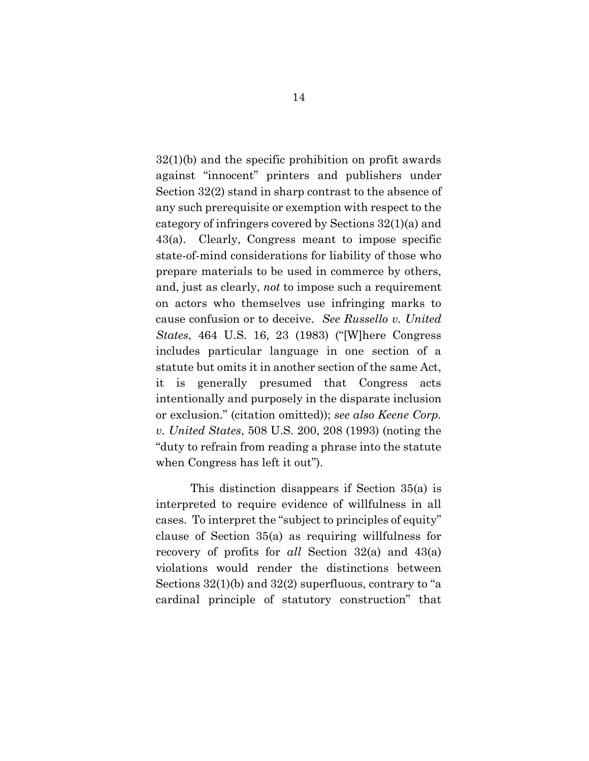32(1)(b) and the specific prohibition on profit awards against "innocent" printers and publishers under Section 32(2) stand in sharp contrast to the absence of any such prerequisite or exemption with respect to the category of infringers covered by Sections 32(1)(a) and 43(a). Clearly, Congress meant to impose specific state-of-mind considerations for liability of those who prepare materials to be used in commerce by others, and, just as clearly, *not* to impose such a requirement on actors who themselves use infringing marks to cause confusion or to deceive. *See Russello v. United States*, 464 U.S. 16, 23 (1983) ("[W]here Congress includes particular language in one section of a statute but omits it in another section of the same Act, it is generally presumed that Congress acts intentionally and purposely in the disparate inclusion or exclusion." (citation omitted)); *see also Keene Corp. v. United States*, 508 U.S. 200, 208 (1993) (noting the "duty to refrain from reading a phrase into the statute when Congress has left it out").

This distinction disappears if Section 35(a) is interpreted to require evidence of willfulness in all cases. To interpret the "subject to principles of equity" clause of Section 35(a) as requiring willfulness for recovery of profits for *all* Section 32(a) and 43(a) violations would render the distinctions between Sections 32(1)(b) and 32(2) superfluous, contrary to "a cardinal principle of statutory construction" that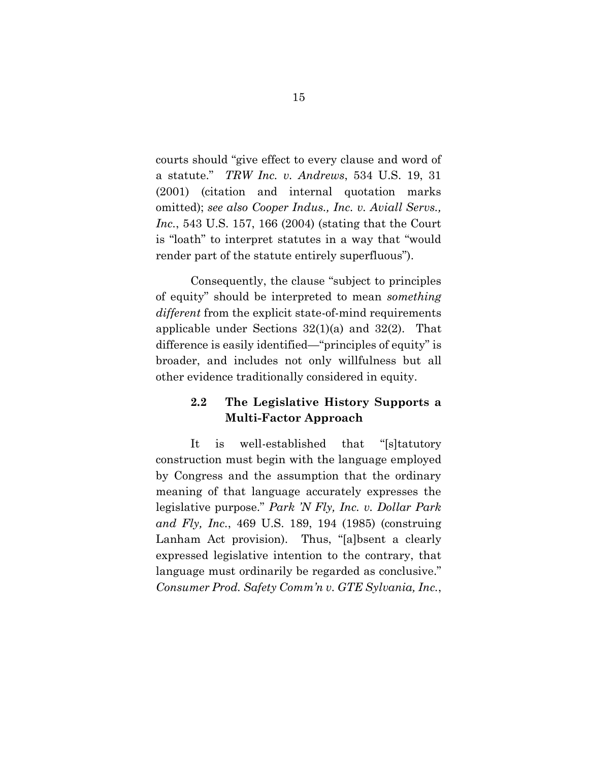courts should "give effect to every clause and word of a statute." *TRW Inc. v. Andrews*, 534 U.S. 19, 31 (2001) (citation and internal quotation marks omitted); *see also Cooper Indus., Inc. v. Aviall Servs., Inc.*, 543 U.S. 157, 166 (2004) (stating that the Court is "loath" to interpret statutes in a way that "would render part of the statute entirely superfluous").

Consequently, the clause "subject to principles of equity" should be interpreted to mean *something different* from the explicit state-of-mind requirements applicable under Sections 32(1)(a) and 32(2). That difference is easily identified—"principles of equity" is broader, and includes not only willfulness but all other evidence traditionally considered in equity.

### **2.2 The Legislative History Supports a Multi-Factor Approach**

It is well-established that "[s]tatutory construction must begin with the language employed by Congress and the assumption that the ordinary meaning of that language accurately expresses the legislative purpose." *Park 'N Fly, Inc. v. Dollar Park and Fly, Inc.*, 469 U.S. 189, 194 (1985) (construing Lanham Act provision). Thus, "[a]bsent a clearly expressed legislative intention to the contrary, that language must ordinarily be regarded as conclusive." *Consumer Prod. Safety Comm'n v. GTE Sylvania, Inc.*,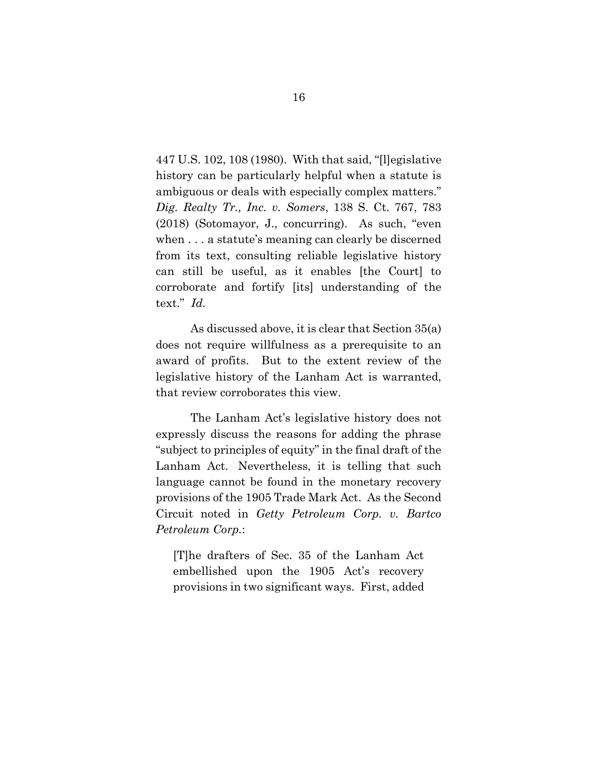447 U.S. 102, 108 (1980). With that said, "[l]egislative history can be particularly helpful when a statute is ambiguous or deals with especially complex matters." *Dig. Realty Tr., Inc. v. Somers*, 138 S. Ct. 767, 783 (2018) (Sotomayor, J., concurring). As such, "even when . . . a statute's meaning can clearly be discerned from its text, consulting reliable legislative history can still be useful, as it enables [the Court] to corroborate and fortify [its] understanding of the text." *Id.*

As discussed above, it is clear that Section 35(a) does not require willfulness as a prerequisite to an award of profits. But to the extent review of the legislative history of the Lanham Act is warranted, that review corroborates this view.

The Lanham Act's legislative history does not expressly discuss the reasons for adding the phrase "subject to principles of equity" in the final draft of the Lanham Act. Nevertheless, it is telling that such language cannot be found in the monetary recovery provisions of the 1905 Trade Mark Act. As the Second Circuit noted in *Getty Petroleum Corp. v. Bartco Petroleum Corp.*:

[T]he drafters of Sec. 35 of the Lanham Act embellished upon the 1905 Act's recovery provisions in two significant ways. First, added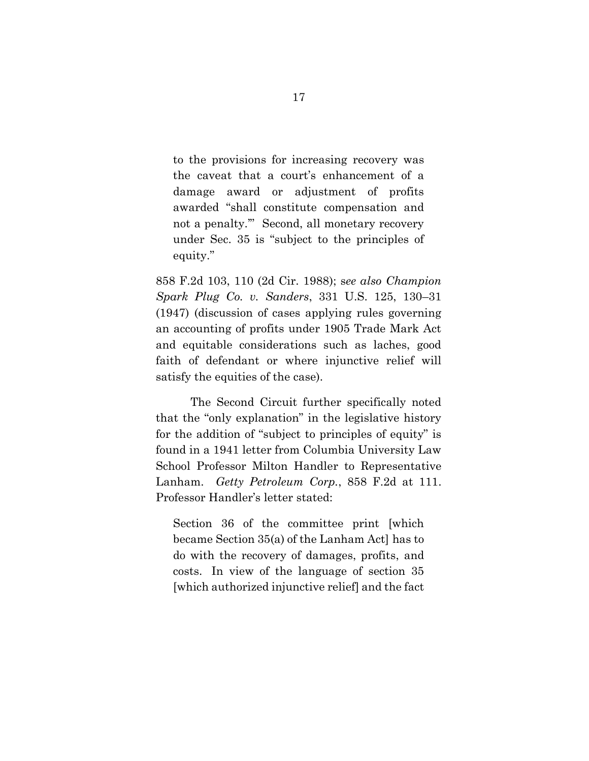to the provisions for increasing recovery was the caveat that a court's enhancement of a damage award or adjustment of profits awarded "shall constitute compensation and not a penalty.'" Second, all monetary recovery under Sec. 35 is "subject to the principles of equity."

858 F.2d 103, 110 (2d Cir. 1988); s*ee also Champion Spark Plug Co. v. Sanders*, 331 U.S. 125, 130–31 (1947) (discussion of cases applying rules governing an accounting of profits under 1905 Trade Mark Act and equitable considerations such as laches, good faith of defendant or where injunctive relief will satisfy the equities of the case).

The Second Circuit further specifically noted that the "only explanation" in the legislative history for the addition of "subject to principles of equity" is found in a 1941 letter from Columbia University Law School Professor Milton Handler to Representative Lanham. *Getty Petroleum Corp.*, 858 F.2d at 111. Professor Handler's letter stated:

Section 36 of the committee print [which became Section 35(a) of the Lanham Act] has to do with the recovery of damages, profits, and costs. In view of the language of section 35 [which authorized injunctive relief] and the fact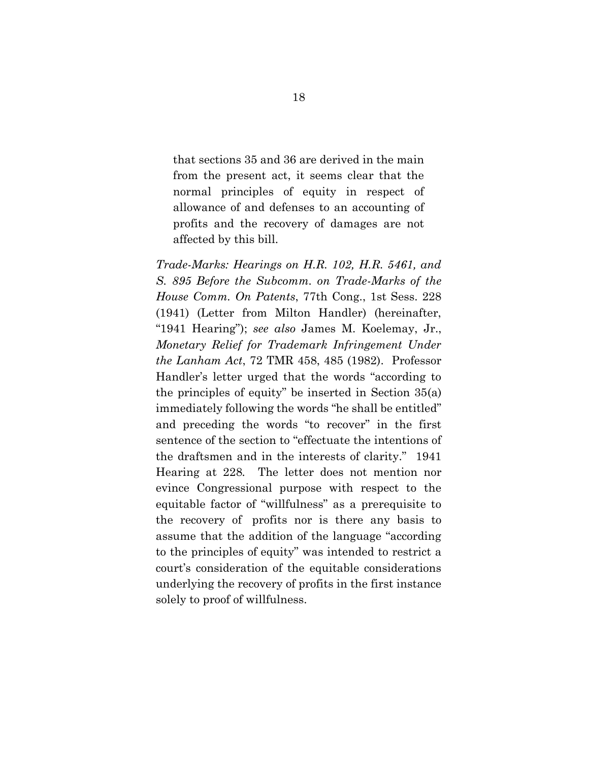that sections 35 and 36 are derived in the main from the present act, it seems clear that the normal principles of equity in respect of allowance of and defenses to an accounting of profits and the recovery of damages are not affected by this bill.

*Trade-Marks: Hearings on H.R. 102, H.R. 5461, and S. 895 Before the Subcomm. on Trade-Marks of the House Comm. On Patents*, 77th Cong., 1st Sess. 228 (1941) (Letter from Milton Handler) (hereinafter, "1941 Hearing"); *see also* James M. Koelemay, Jr., *Monetary Relief for Trademark Infringement Under the Lanham Act*, 72 TMR 458, 485 (1982). Professor Handler's letter urged that the words "according to the principles of equity" be inserted in Section 35(a) immediately following the words "he shall be entitled" and preceding the words "to recover" in the first sentence of the section to "effectuate the intentions of the draftsmen and in the interests of clarity." 1941 Hearing at 228*.* The letter does not mention nor evince Congressional purpose with respect to the equitable factor of "willfulness" as a prerequisite to the recovery of profits nor is there any basis to assume that the addition of the language "according to the principles of equity" was intended to restrict a court's consideration of the equitable considerations underlying the recovery of profits in the first instance solely to proof of willfulness.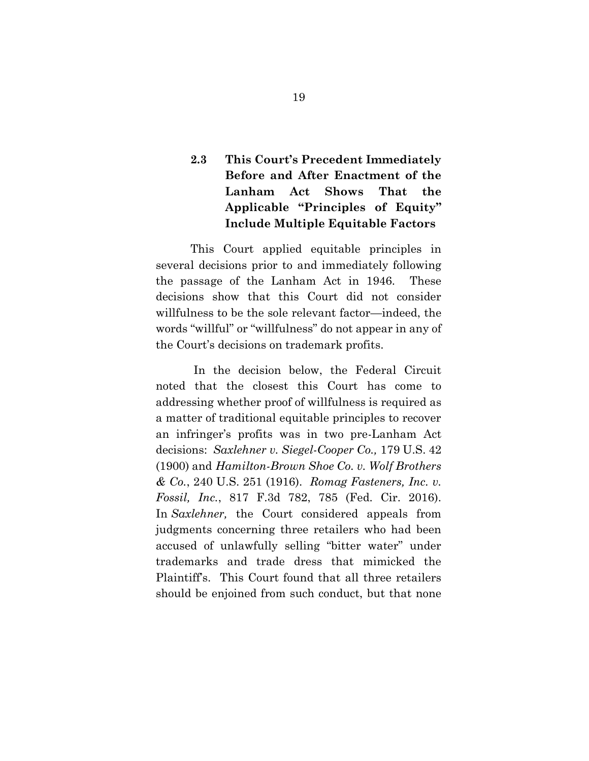## **2.3 This Court's Precedent Immediately Before and After Enactment of the Lanham Act Shows That the Applicable "Principles of Equity" Include Multiple Equitable Factors**

This Court applied equitable principles in several decisions prior to and immediately following the passage of the Lanham Act in 1946. These decisions show that this Court did not consider willfulness to be the sole relevant factor—indeed, the words "willful" or "willfulness" do not appear in any of the Court's decisions on trademark profits.

In the decision below, the Federal Circuit noted that the closest this Court has come to addressing whether proof of willfulness is required as a matter of traditional equitable principles to recover an infringer's profits was in two pre-Lanham Act decisions: *Saxlehner v. Siegel-Cooper Co.,* 179 U.S. 42 (1900) and *Hamilton-Brown Shoe Co. v. Wolf Brothers & Co.*, 240 U.S. 251 (1916). *Romag Fasteners, Inc. v. Fossil, Inc.*, 817 F.3d 782, 785 (Fed. Cir. 2016). In *Saxlehner,* the Court considered appeals from judgments concerning three retailers who had been accused of unlawfully selling "bitter water" under trademarks and trade dress that mimicked the Plaintiff's. This Court found that all three retailers should be enjoined from such conduct, but that none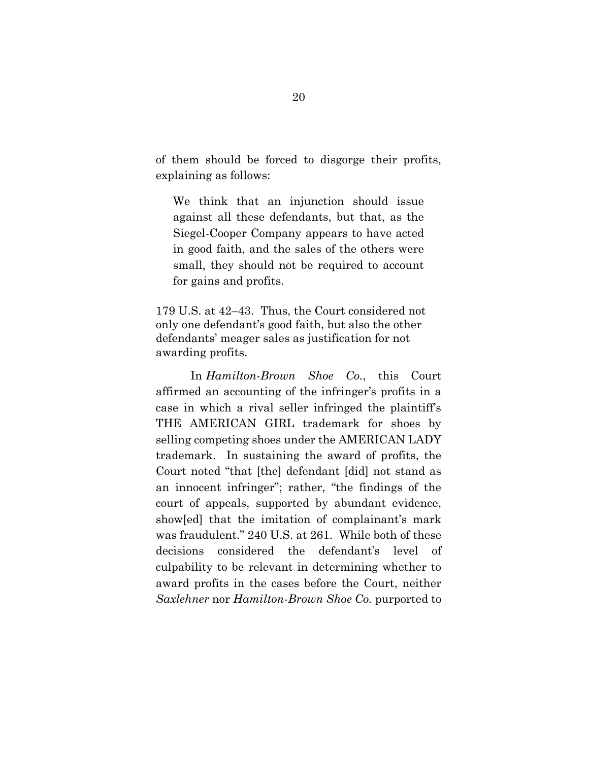of them should be forced to disgorge their profits, explaining as follows:

We think that an injunction should issue against all these defendants, but that, as the Siegel-Cooper Company appears to have acted in good faith, and the sales of the others were small, they should not be required to account for gains and profits.

179 U.S. at 42–43. Thus, the Court considered not only one defendant's good faith, but also the other defendants' meager sales as justification for not awarding profits.

In *Hamilton-Brown Shoe Co.*, this Court affirmed an accounting of the infringer's profits in a case in which a rival seller infringed the plaintiff's THE AMERICAN GIRL trademark for shoes by selling competing shoes under the AMERICAN LADY trademark. In sustaining the award of profits, the Court noted "that [the] defendant [did] not stand as an innocent infringer"; rather, "the findings of the court of appeals, supported by abundant evidence, show[ed] that the imitation of complainant's mark was fraudulent." 240 U.S. at 261. While both of these decisions considered the defendant's level of culpability to be relevant in determining whether to award profits in the cases before the Court, neither *Saxlehner* nor *Hamilton-Brown Shoe Co.* purported to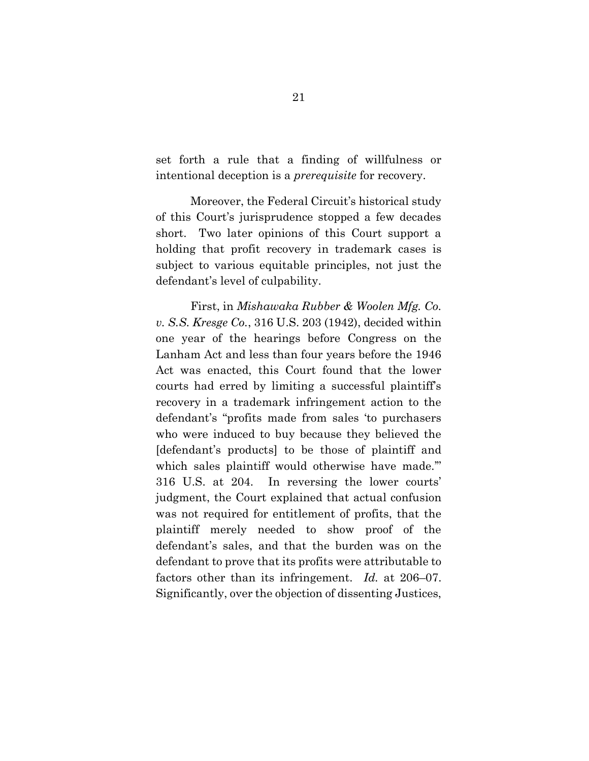set forth a rule that a finding of willfulness or intentional deception is a *prerequisite* for recovery.

Moreover, the Federal Circuit's historical study of this Court's jurisprudence stopped a few decades short. Two later opinions of this Court support a holding that profit recovery in trademark cases is subject to various equitable principles, not just the defendant's level of culpability.

First, in *Mishawaka Rubber & Woolen Mfg. Co. v. S.S. Kresge Co.*, 316 U.S. 203 (1942), decided within one year of the hearings before Congress on the Lanham Act and less than four years before the 1946 Act was enacted, this Court found that the lower courts had erred by limiting a successful plaintiff's recovery in a trademark infringement action to the defendant's "profits made from sales 'to purchasers who were induced to buy because they believed the [defendant's products] to be those of plaintiff and which sales plaintiff would otherwise have made." 316 U.S. at 204. In reversing the lower courts' judgment, the Court explained that actual confusion was not required for entitlement of profits, that the plaintiff merely needed to show proof of the defendant's sales, and that the burden was on the defendant to prove that its profits were attributable to factors other than its infringement. *Id.* at 206–07. Significantly, over the objection of dissenting Justices,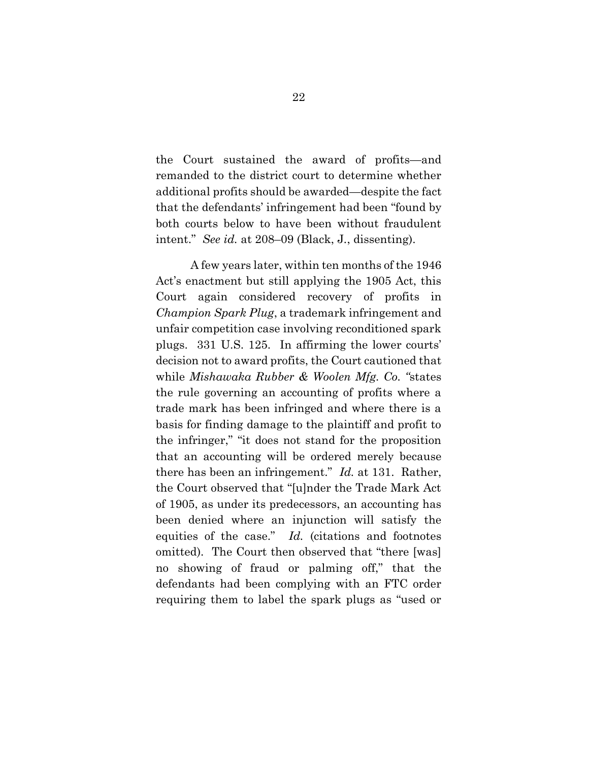the Court sustained the award of profits—and remanded to the district court to determine whether additional profits should be awarded—despite the fact that the defendants' infringement had been "found by both courts below to have been without fraudulent intent." *See id.* at 208–09 (Black, J*.*, dissenting).

A few years later, within ten months of the 1946 Act's enactment but still applying the 1905 Act, this Court again considered recovery of profits in *Champion Spark Plug*, a trademark infringement and unfair competition case involving reconditioned spark plugs. 331 U.S. 125. In affirming the lower courts' decision not to award profits, the Court cautioned that while *Mishawaka Rubber & Woolen Mfg. Co. "*states the rule governing an accounting of profits where a trade mark has been infringed and where there is a basis for finding damage to the plaintiff and profit to the infringer," "it does not stand for the proposition that an accounting will be ordered merely because there has been an infringement." *Id.* at 131. Rather, the Court observed that "[u]nder the Trade Mark Act of 1905, as under its predecessors, an accounting has been denied where an injunction will satisfy the equities of the case." *Id.* (citations and footnotes omitted). The Court then observed that "there [was] no showing of fraud or palming off," that the defendants had been complying with an FTC order requiring them to label the spark plugs as "used or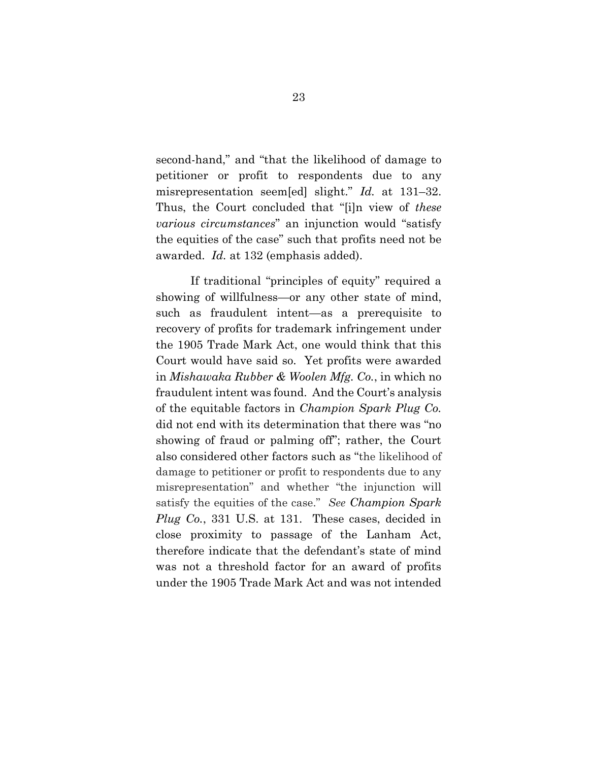second-hand," and "that the likelihood of damage to petitioner or profit to respondents due to any misrepresentation seem[ed] slight." *Id.* at 131–32. Thus, the Court concluded that "[i]n view of *these various circumstances*" an injunction would "satisfy the equities of the case" such that profits need not be awarded. *Id.* at 132 (emphasis added).

If traditional "principles of equity" required a showing of willfulness—or any other state of mind, such as fraudulent intent—as a prerequisite to recovery of profits for trademark infringement under the 1905 Trade Mark Act, one would think that this Court would have said so. Yet profits were awarded in *Mishawaka Rubber & Woolen Mfg. Co.*, in which no fraudulent intent was found. And the Court's analysis of the equitable factors in *Champion Spark Plug Co.*  did not end with its determination that there was "no showing of fraud or palming off"; rather, the Court also considered other factors such as "the likelihood of damage to petitioner or profit to respondents due to any misrepresentation" and whether "the injunction will satisfy the equities of the case." *See Champion Spark Plug Co.*, 331 U.S. at 131. These cases, decided in close proximity to passage of the Lanham Act, therefore indicate that the defendant's state of mind was not a threshold factor for an award of profits under the 1905 Trade Mark Act and was not intended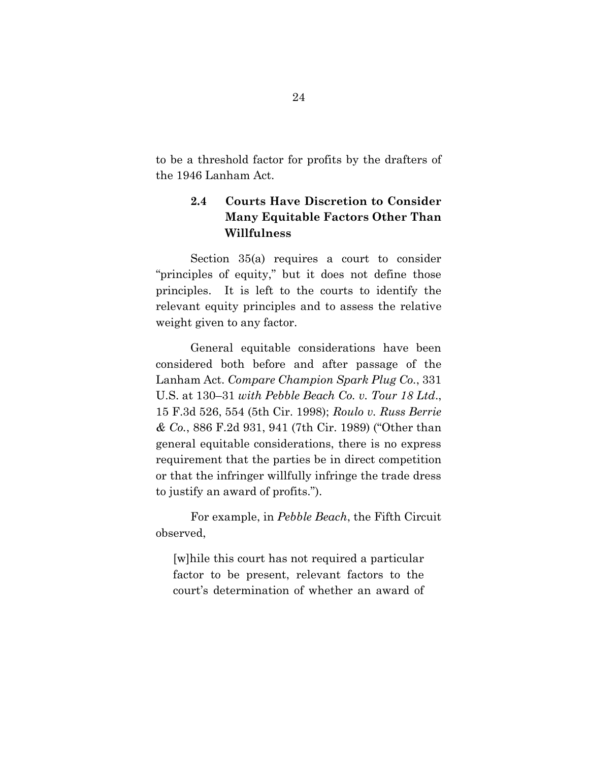to be a threshold factor for profits by the drafters of the 1946 Lanham Act.

## **2.4 Courts Have Discretion to Consider Many Equitable Factors Other Than Willfulness**

Section 35(a) requires a court to consider "principles of equity," but it does not define those principles. It is left to the courts to identify the relevant equity principles and to assess the relative weight given to any factor.

General equitable considerations have been considered both before and after passage of the Lanham Act. *Compare Champion Spark Plug Co.*, 331 U.S. at 130–31 *with Pebble Beach Co. v. Tour 18 Ltd*., 15 F.3d 526, 554 (5th Cir. 1998); *Roulo v. Russ Berrie & Co.*, 886 F.2d 931, 941 (7th Cir. 1989) ("Other than general equitable considerations, there is no express requirement that the parties be in direct competition or that the infringer willfully infringe the trade dress to justify an award of profits.").

For example, in *Pebble Beach*, the Fifth Circuit observed,

[w]hile this court has not required a particular factor to be present, relevant factors to the court's determination of whether an award of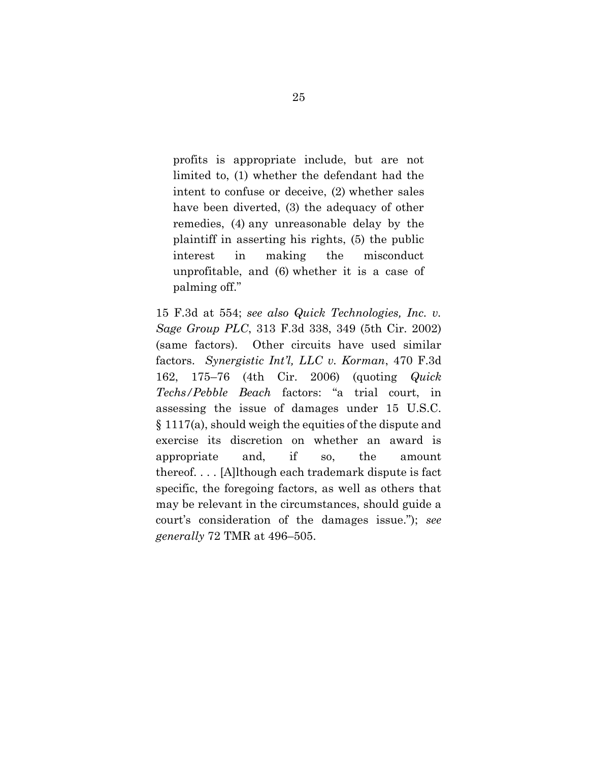profits is appropriate include, but are not limited to, (1) whether the defendant had the intent to confuse or deceive, (2) whether sales have been diverted, (3) the adequacy of other remedies, (4) any unreasonable delay by the plaintiff in asserting his rights, (5) the public interest in making the misconduct unprofitable, and (6) whether it is a case of palming off."

15 F.3d at 554; *see also Quick Technologies, Inc. v. Sage Group PLC*, 313 F.3d 338, 349 (5th Cir. 2002) (same factors). Other circuits have used similar factors. *Synergistic Int'l, LLC v. Korman*, 470 F.3d 162, 175–76 (4th Cir. 2006) (quoting *Quick Techs/Pebble Beach* factors: "a trial court, in assessing the issue of damages under 15 U.S.C. § 1117(a), should weigh the equities of the dispute and exercise its discretion on whether an award is appropriate and, if so, the amount thereof. . . . [A]lthough each trademark dispute is fact specific, the foregoing factors, as well as others that may be relevant in the circumstances, should guide a court's consideration of the damages issue."); *see generally* 72 TMR at 496–505.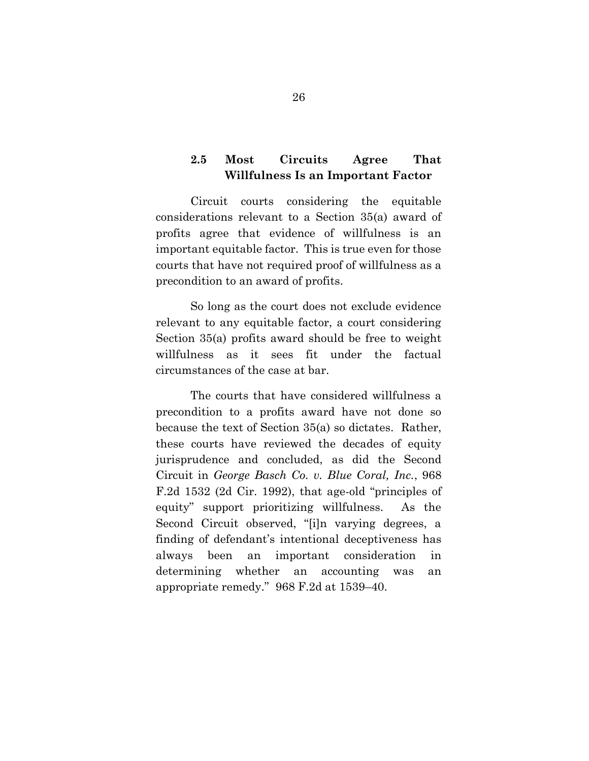### **2.5 Most Circuits Agree That Willfulness Is an Important Factor**

Circuit courts considering the equitable considerations relevant to a Section 35(a) award of profits agree that evidence of willfulness is an important equitable factor. This is true even for those courts that have not required proof of willfulness as a precondition to an award of profits.

So long as the court does not exclude evidence relevant to any equitable factor, a court considering Section 35(a) profits award should be free to weight willfulness as it sees fit under the factual circumstances of the case at bar.

The courts that have considered willfulness a precondition to a profits award have not done so because the text of Section 35(a) so dictates. Rather, these courts have reviewed the decades of equity jurisprudence and concluded, as did the Second Circuit in *George Basch Co. v. Blue Coral, Inc.*, 968 F.2d 1532 (2d Cir. 1992), that age-old "principles of equity" support prioritizing willfulness. As the Second Circuit observed, "[i]n varying degrees, a finding of defendant's intentional deceptiveness has always been an important consideration in determining whether an accounting was an appropriate remedy." 968 F.2d at 1539–40.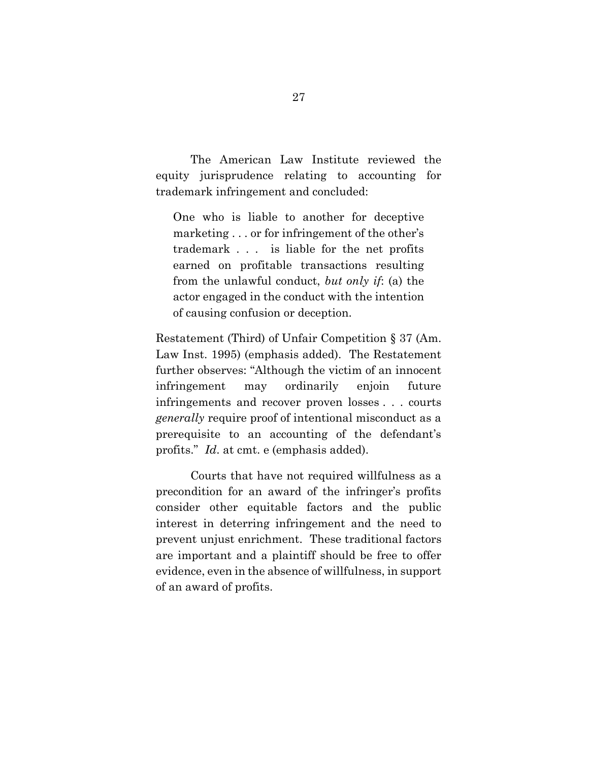The American Law Institute reviewed the equity jurisprudence relating to accounting for trademark infringement and concluded:

One who is liable to another for deceptive marketing . . . or for infringement of the other's trademark . . . is liable for the net profits earned on profitable transactions resulting from the unlawful conduct, *but only if*: (a) the actor engaged in the conduct with the intention of causing confusion or deception.

Restatement (Third) of Unfair Competition § 37 (Am. Law Inst. 1995) (emphasis added). The Restatement further observes: "Although the victim of an innocent infringement may ordinarily enjoin future infringements and recover proven losses . . . courts *generally* require proof of intentional misconduct as a prerequisite to an accounting of the defendant's profits." *Id*. at cmt. e (emphasis added).

Courts that have not required willfulness as a precondition for an award of the infringer's profits consider other equitable factors and the public interest in deterring infringement and the need to prevent unjust enrichment. These traditional factors are important and a plaintiff should be free to offer evidence, even in the absence of willfulness, in support of an award of profits.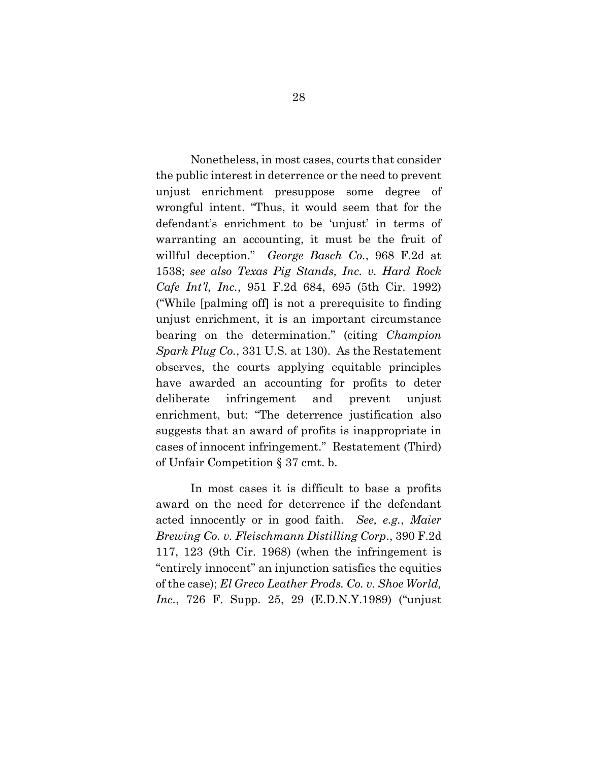Nonetheless, in most cases, courts that consider the public interest in deterrence or the need to prevent unjust enrichment presuppose some degree of wrongful intent. "Thus, it would seem that for the defendant's enrichment to be 'unjust' in terms of warranting an accounting, it must be the fruit of willful deception." *George Basch Co.*, 968 F.2d at 1538; *see also Texas Pig Stands, Inc. v. Hard Rock Cafe Int'l, Inc.*, 951 F.2d 684, 695 (5th Cir. 1992) ("While [palming off] is not a prerequisite to finding unjust enrichment, it is an important circumstance bearing on the determination." (citing *Champion Spark Plug Co.*, 331 U.S. at 130). As the Restatement observes, the courts applying equitable principles have awarded an accounting for profits to deter deliberate infringement and prevent unjust enrichment, but: "The deterrence justification also suggests that an award of profits is inappropriate in cases of innocent infringement." Restatement (Third) of Unfair Competition § 37 cmt. b.

In most cases it is difficult to base a profits award on the need for deterrence if the defendant acted innocently or in good faith. *See, e.g.*, *Maier Brewing Co. v. Fleischmann Distilling Corp*., 390 F.2d 117, 123 (9th Cir. 1968) (when the infringement is "entirely innocent" an injunction satisfies the equities of the case); *El Greco Leather Prods. Co. v. Shoe World, Inc.*, 726 F. Supp. 25, 29 (E.D.N.Y.1989) ("unjust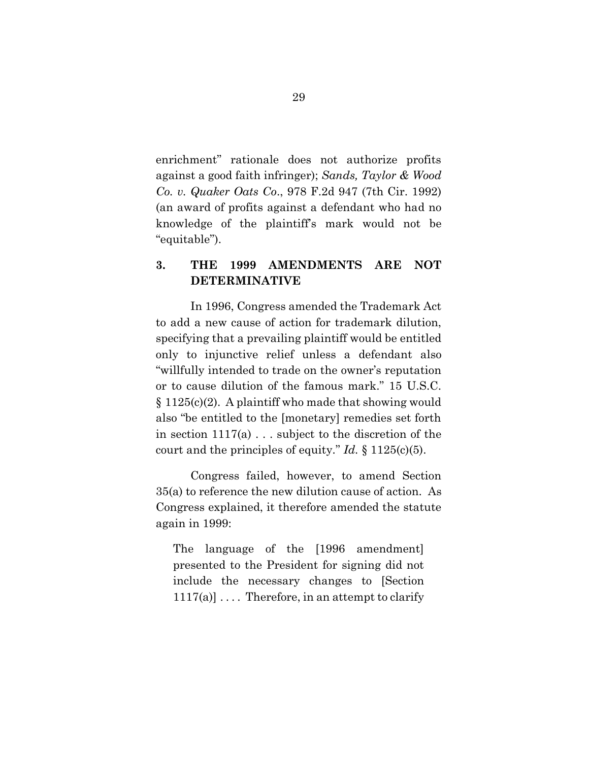enrichment" rationale does not authorize profits against a good faith infringer); *Sands, Taylor & Wood Co. v. Quaker Oats Co*., 978 F.2d 947 (7th Cir. 1992) (an award of profits against a defendant who had no knowledge of the plaintiff's mark would not be "equitable").

### **3. THE 1999 AMENDMENTS ARE NOT DETERMINATIVE**

In 1996, Congress amended the Trademark Act to add a new cause of action for trademark dilution, specifying that a prevailing plaintiff would be entitled only to injunctive relief unless a defendant also "willfully intended to trade on the owner's reputation or to cause dilution of the famous mark." 15 U.S.C. § 1125(c)(2). A plaintiff who made that showing would also "be entitled to the [monetary] remedies set forth in section 1117(a) . . . subject to the discretion of the court and the principles of equity*.*" *Id.* § 1125(c)(5).

Congress failed, however, to amend Section 35(a) to reference the new dilution cause of action. As Congress explained, it therefore amended the statute again in 1999:

The language of the [1996 amendment] presented to the President for signing did not include the necessary changes to [Section  $1117(a)$ ... Therefore, in an attempt to clarify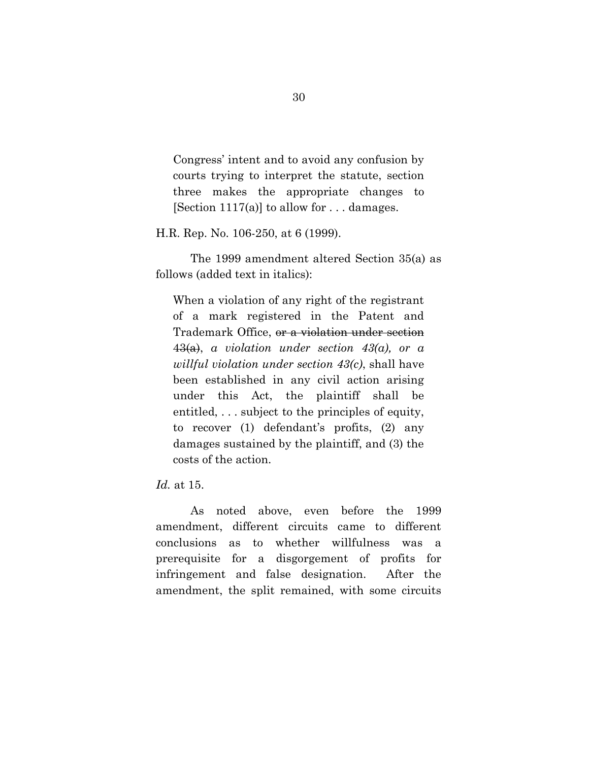Congress' intent and to avoid any confusion by courts trying to interpret the statute, section three makes the appropriate changes to [Section 1117(a)] to allow for  $\dots$  damages.

H.R. Rep. No. 106-250, at 6 (1999).

The 1999 amendment altered Section 35(a) as follows (added text in italics):

When a violation of any right of the registrant of a mark registered in the Patent and Trademark Office, or a violation under section 43(a), *a violation under section 43(a), or a willful violation under section 43(c)*, shall have been established in any civil action arising under this Act, the plaintiff shall be entitled, . . . subject to the principles of equity, to recover (1) defendant's profits, (2) any damages sustained by the plaintiff, and (3) the costs of the action.

*Id.* at 15.

As noted above, even before the 1999 amendment, different circuits came to different conclusions as to whether willfulness was a prerequisite for a disgorgement of profits for infringement and false designation. After the amendment, the split remained, with some circuits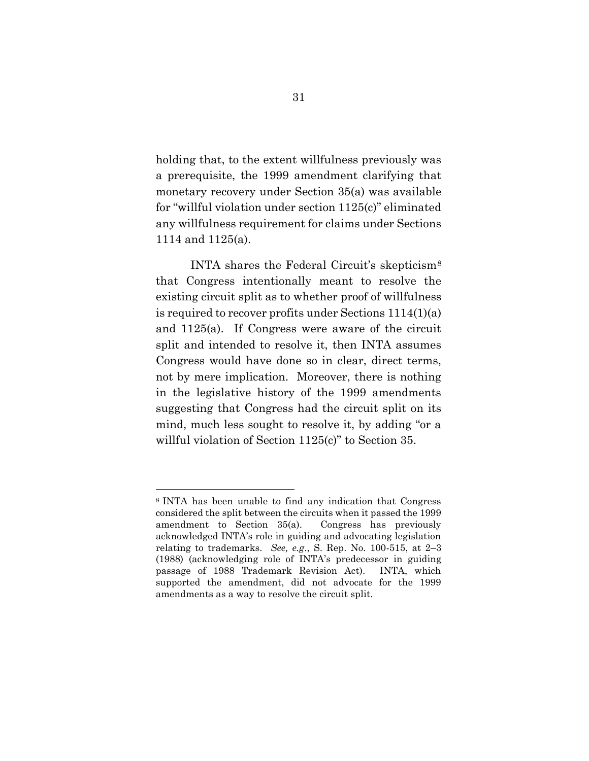holding that, to the extent willfulness previously was a prerequisite, the 1999 amendment clarifying that monetary recovery under Section 35(a) was available for "willful violation under section 1125(c)" eliminated any willfulness requirement for claims under Sections 1114 and 1125(a).

INTA shares the Federal Circuit's skepticism<sup>8</sup> that Congress intentionally meant to resolve the existing circuit split as to whether proof of willfulness is required to recover profits under Sections 1114(1)(a) and 1125(a). If Congress were aware of the circuit split and intended to resolve it, then INTA assumes Congress would have done so in clear, direct terms, not by mere implication. Moreover, there is nothing in the legislative history of the 1999 amendments suggesting that Congress had the circuit split on its mind, much less sought to resolve it, by adding "or a willful violation of Section 1125(c)" to Section 35.

<sup>8</sup> INTA has been unable to find any indication that Congress considered the split between the circuits when it passed the 1999 amendment to Section 35(a). Congress has previously acknowledged INTA's role in guiding and advocating legislation relating to trademarks. *See, e.g*., S. Rep. No. 100-515, at 2–3 (1988) (acknowledging role of INTA's predecessor in guiding passage of 1988 Trademark Revision Act). INTA, which supported the amendment, did not advocate for the 1999 amendments as a way to resolve the circuit split.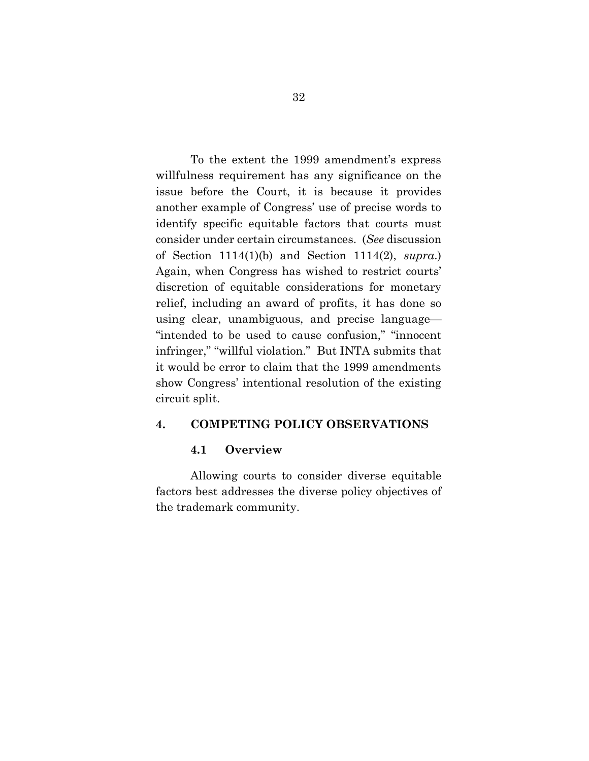To the extent the 1999 amendment's express willfulness requirement has any significance on the issue before the Court, it is because it provides another example of Congress' use of precise words to identify specific equitable factors that courts must consider under certain circumstances. (*See* discussion of Section 1114(1)(b) and Section 1114(2), *supra*.) Again, when Congress has wished to restrict courts' discretion of equitable considerations for monetary relief, including an award of profits, it has done so using clear, unambiguous, and precise language— "intended to be used to cause confusion," "innocent infringer," "willful violation." But INTA submits that it would be error to claim that the 1999 amendments show Congress' intentional resolution of the existing circuit split.

### **4. COMPETING POLICY OBSERVATIONS**

#### **4.1 Overview**

Allowing courts to consider diverse equitable factors best addresses the diverse policy objectives of the trademark community.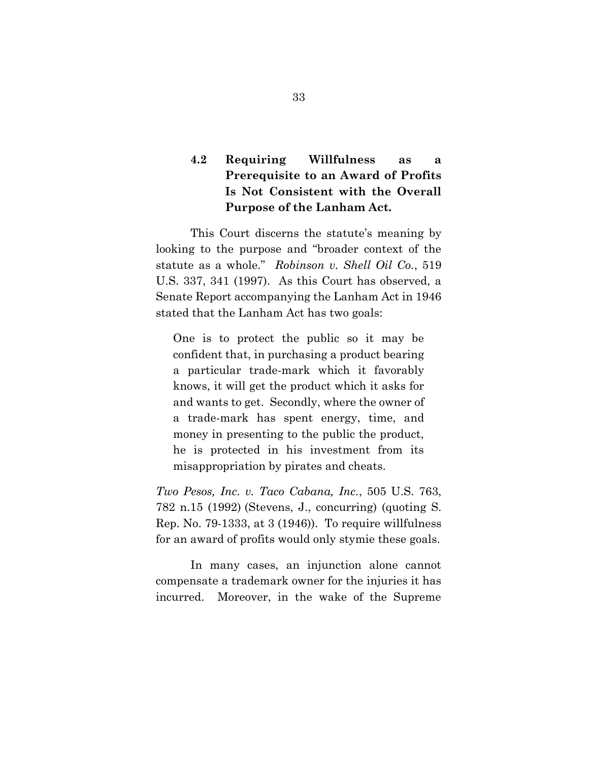## **4.2 Requiring Willfulness as a Prerequisite to an Award of Profits Is Not Consistent with the Overall Purpose of the Lanham Act.**

This Court discerns the statute's meaning by looking to the purpose and "broader context of the statute as a whole." *Robinson v. Shell Oil Co.*, 519 U.S. 337, 341 (1997). As this Court has observed, a Senate Report accompanying the Lanham Act in 1946 stated that the Lanham Act has two goals:

One is to protect the public so it may be confident that, in purchasing a product bearing a particular trade-mark which it favorably knows, it will get the product which it asks for and wants to get. Secondly, where the owner of a trade-mark has spent energy, time, and money in presenting to the public the product, he is protected in his investment from its misappropriation by pirates and cheats.

*Two Pesos, Inc. v. Taco Cabana, Inc.*, 505 U.S. 763, 782 n.15 (1992) (Stevens, J., concurring) (quoting S. Rep. No. 79-1333, at 3 (1946)). To require willfulness for an award of profits would only stymie these goals.

In many cases, an injunction alone cannot compensate a trademark owner for the injuries it has incurred. Moreover, in the wake of the Supreme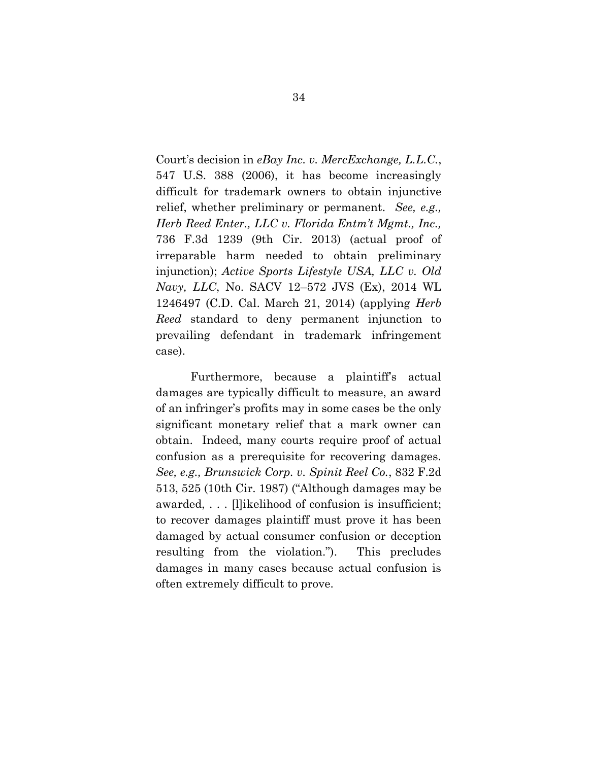Court's decision in *eBay Inc. v. MercExchange, L.L.C.*, 547 U.S. 388 (2006), it has become increasingly difficult for trademark owners to obtain injunctive relief, whether preliminary or permanent. *See, e.g., Herb Reed Enter., LLC v. Florida Entm't Mgmt., Inc.,* 736 F.3d 1239 (9th Cir. 2013) (actual proof of irreparable harm needed to obtain preliminary injunction); *Active Sports Lifestyle USA, LLC v. Old Navy, LLC*, No. SACV 12–572 JVS (Ex), 2014 WL 1246497 (C.D. Cal. March 21, 2014) (applying *Herb Reed* standard to deny permanent injunction to prevailing defendant in trademark infringement case).

Furthermore, because a plaintiff's actual damages are typically difficult to measure, an award of an infringer's profits may in some cases be the only significant monetary relief that a mark owner can obtain. Indeed, many courts require proof of actual confusion as a prerequisite for recovering damages. *See, e.g., Brunswick Corp. v. Spinit Reel Co.*, 832 F.2d 513, 525 (10th Cir. 1987) ("Although damages may be awarded, . . . [l]ikelihood of confusion is insufficient; to recover damages plaintiff must prove it has been damaged by actual consumer confusion or deception resulting from the violation."). This precludes damages in many cases because actual confusion is often extremely difficult to prove.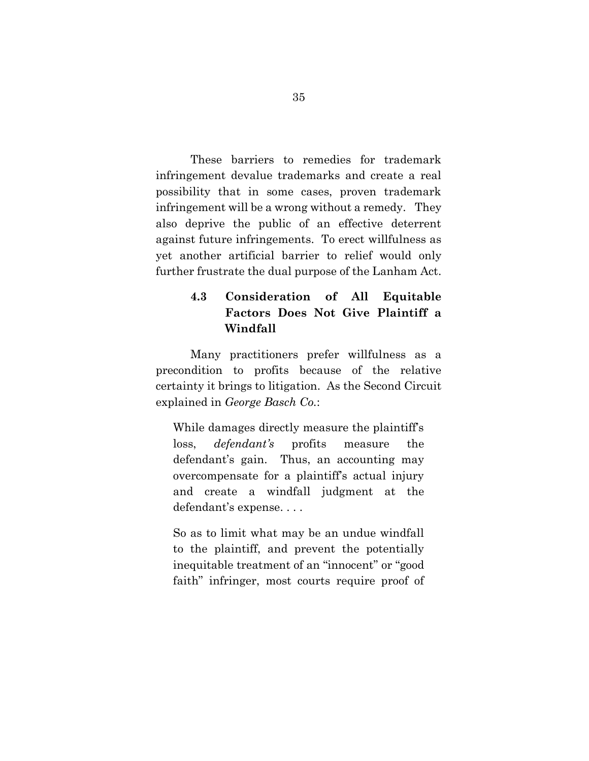These barriers to remedies for trademark infringement devalue trademarks and create a real possibility that in some cases, proven trademark infringement will be a wrong without a remedy. They also deprive the public of an effective deterrent against future infringements. To erect willfulness as yet another artificial barrier to relief would only further frustrate the dual purpose of the Lanham Act.

### **4.3 Consideration of All Equitable Factors Does Not Give Plaintiff a Windfall**

Many practitioners prefer willfulness as a precondition to profits because of the relative certainty it brings to litigation. As the Second Circuit explained in *George Basch Co.*:

While damages directly measure the plaintiff's loss, *defendant's* profits measure the defendant's gain. Thus, an accounting may overcompensate for a plaintiff's actual injury and create a windfall judgment at the defendant's expense. . . .

So as to limit what may be an undue windfall to the plaintiff, and prevent the potentially inequitable treatment of an "innocent" or "good faith" infringer, most courts require proof of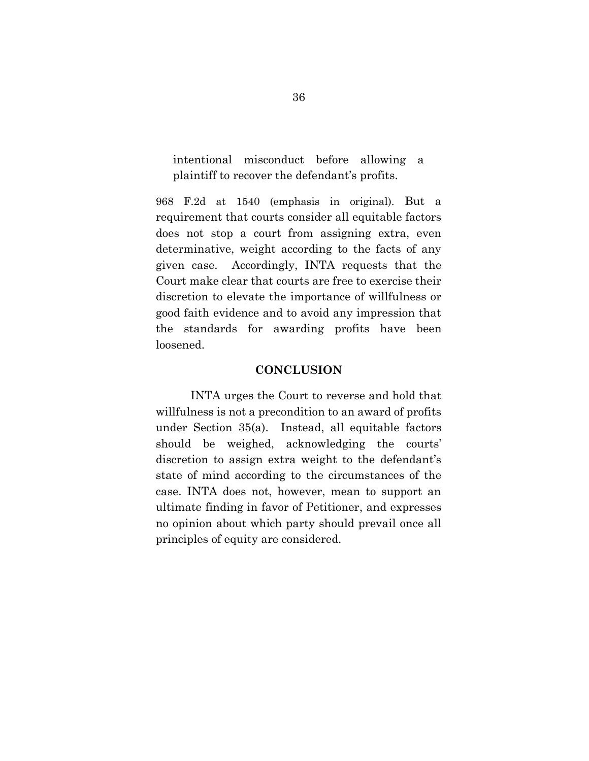intentional misconduct before allowing a plaintiff to recover the defendant's profits.

968 F.2d at 1540 (emphasis in original). But a requirement that courts consider all equitable factors does not stop a court from assigning extra, even determinative, weight according to the facts of any given case. Accordingly, INTA requests that the Court make clear that courts are free to exercise their discretion to elevate the importance of willfulness or good faith evidence and to avoid any impression that the standards for awarding profits have been loosened.

#### **CONCLUSION**

INTA urges the Court to reverse and hold that willfulness is not a precondition to an award of profits under Section 35(a). Instead, all equitable factors should be weighed, acknowledging the courts' discretion to assign extra weight to the defendant's state of mind according to the circumstances of the case. INTA does not, however, mean to support an ultimate finding in favor of Petitioner, and expresses no opinion about which party should prevail once all principles of equity are considered.